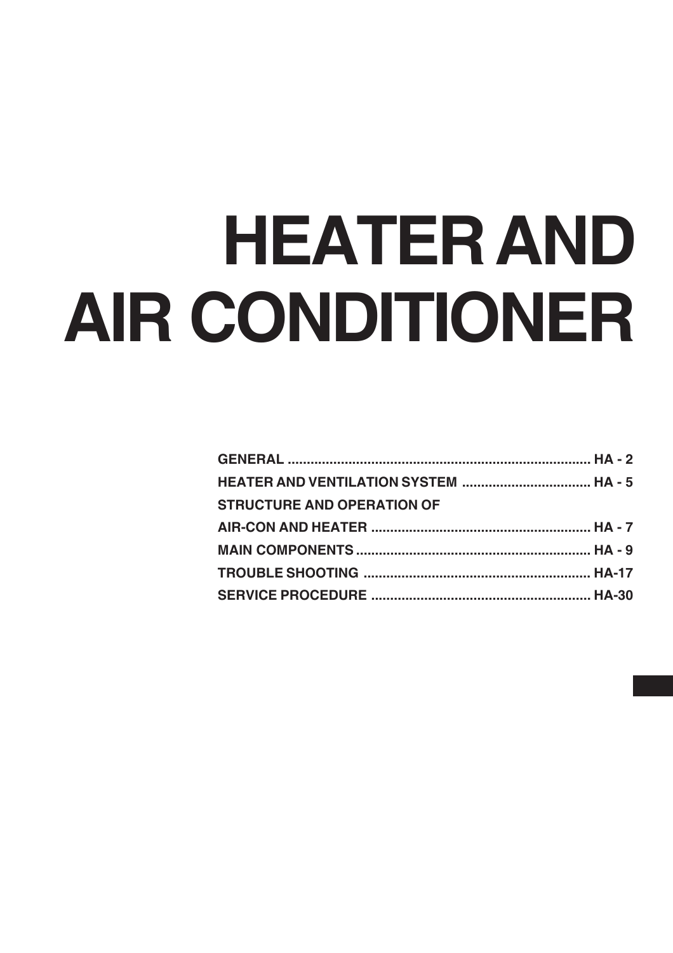# **HEATER AND AIR CONDITIONER**

| HEATER AND VENTILATION SYSTEM  HA - 5 |  |
|---------------------------------------|--|
| <b>STRUCTURE AND OPERATION OF</b>     |  |
|                                       |  |
|                                       |  |
|                                       |  |
|                                       |  |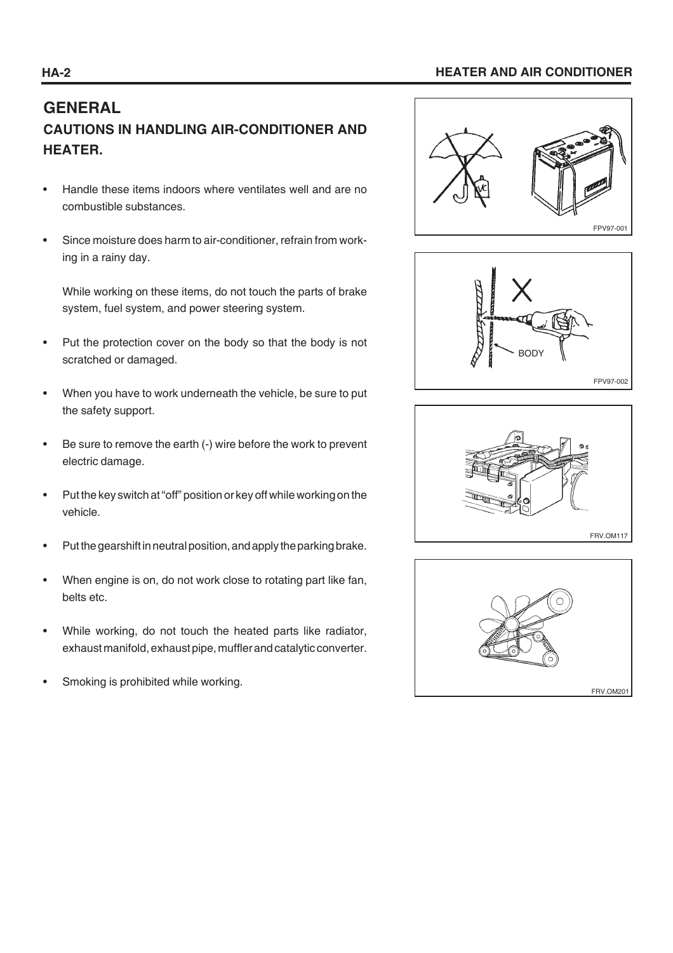## **HA-2 HEATER AND AIR CONDITIONER**

# **GENERAL CAUTIONS IN HANDLING AIR-CONDITIONER AND HEATER.**

- Handle these items indoors where ventilates well and are no combustible substances.
- Since moisture does harm to air-conditioner, refrain from working in a rainy day.

 While working on these items, do not touch the parts of brake system, fuel system, and power steering system.

- Put the protection cover on the body so that the body is not scratched or damaged.
- When you have to work underneath the vehicle, be sure to put the safety support.
- Be sure to remove the earth (-) wire before the work to prevent electric damage.
- Put the key switch at "off" position or key off while working on the vehicle.
- Put the gearshift in neutral position, and apply the parking brake.
- When engine is on, do not work close to rotating part like fan, belts etc.
- While working, do not touch the heated parts like radiator, exhaust manifold, exhaust pipe, muffler and catalytic converter.
- Smoking is prohibited while working.







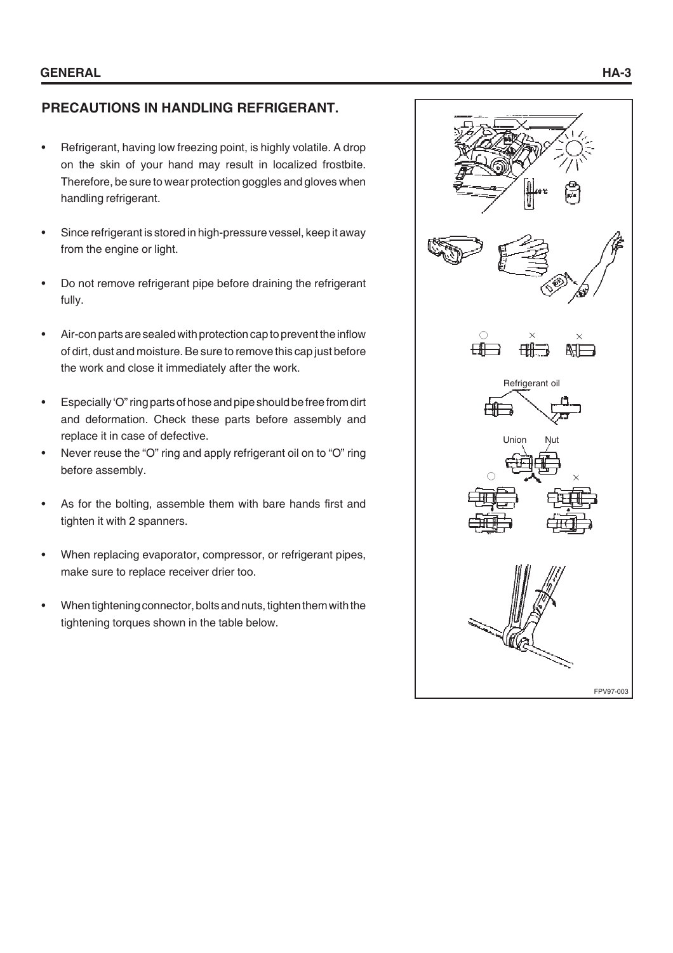# **PRECAUTIONS IN HANDLING REFRIGERANT.**

- Refrigerant, having low freezing point, is highly volatile. A drop on the skin of your hand may result in localized frostbite. Therefore, be sure to wear protection goggles and gloves when handling refrigerant.
- Since refrigerant is stored in high-pressure vessel, keep it away from the engine or light.
- Do not remove refrigerant pipe before draining the refrigerant fully.
- Air-con parts are sealed with protection cap to prevent the inflow of dirt, dust and moisture. Be sure to remove this cap just before the work and close it immediately after the work.
- Especially 'O" ring parts of hose and pipe should be free from dirt and deformation. Check these parts before assembly and replace it in case of defective.
- Never reuse the "O" ring and apply refrigerant oil on to "O" ring before assembly.
- As for the bolting, assemble them with bare hands first and tighten it with 2 spanners.
- When replacing evaporator, compressor, or refrigerant pipes, make sure to replace receiver drier too.
- When tightening connector, bolts and nuts, tighten them with the tightening torques shown in the table below.

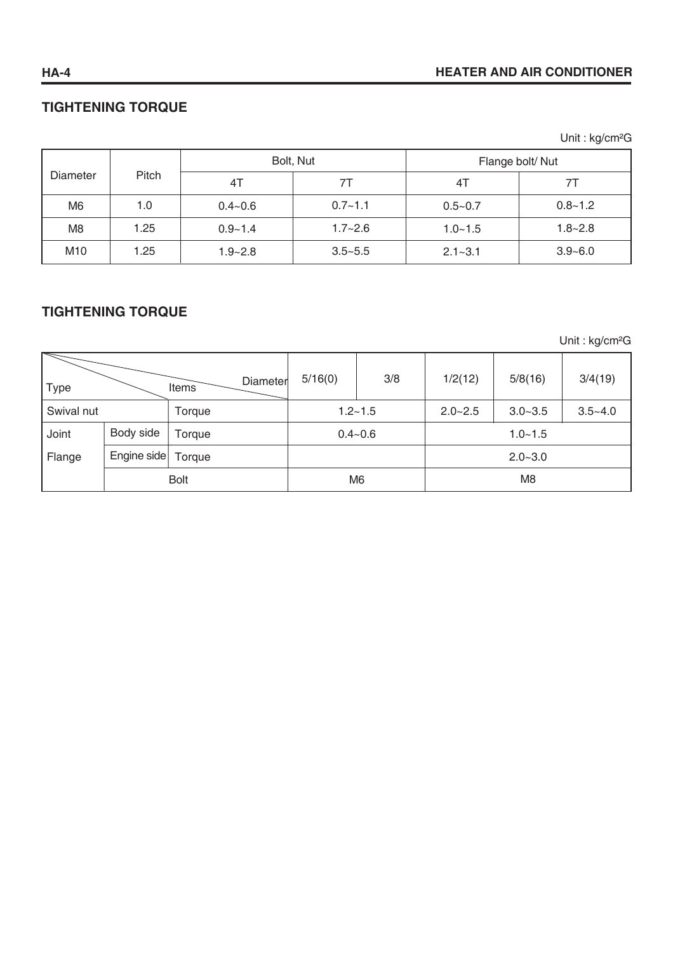# **HA-4 HEATER AND AIR CONDITIONER**

# **TIGHTENING TORQUE**

Unit : kg/cm²G

|                 |             |             | Bolt, Nut   | Flange bolt/Nut |             |  |  |
|-----------------|-------------|-------------|-------------|-----------------|-------------|--|--|
| Diameter        | Pitch<br>41 |             | 71          |                 |             |  |  |
| M <sub>6</sub>  | 1.0         | $0.4 - 0.6$ | $0.7 - 1.1$ | $0.5 - 0.7$     | $0.8 - 1.2$ |  |  |
| M <sub>8</sub>  | 1.25        | $0.9 - 1.4$ | $1.7 - 2.6$ | $1.0 - 1.5$     | $1.8 - 2.8$ |  |  |
| M <sub>10</sub> | 1.25        | $1.9 - 2.8$ | $3.5 - 5.5$ | $2.1 - 3.1$     | $3.9 - 6.0$ |  |  |

# **TIGHTENING TORQUE**

Unit : kg/cm²G

| <b>Type</b> |             | Diameter<br>Items | 5/16(0)     | 3/8            | 1/2(12)     | 5/8(16)     | 3/4(19)     |
|-------------|-------------|-------------------|-------------|----------------|-------------|-------------|-------------|
| Swival nut  |             | Torque            |             | $1.2 - 1.5$    | $2.0 - 2.5$ | $3.0 - 3.5$ | $3.5 - 4.0$ |
| Joint       | Body side   | Torque            | $0.4 - 0.6$ |                | $1.0 - 1.5$ |             |             |
| Flange      | Engine side | Torque            |             |                |             | $2.0 - 3.0$ |             |
| <b>Bolt</b> |             | M <sub>6</sub>    |             | M <sub>8</sub> |             |             |             |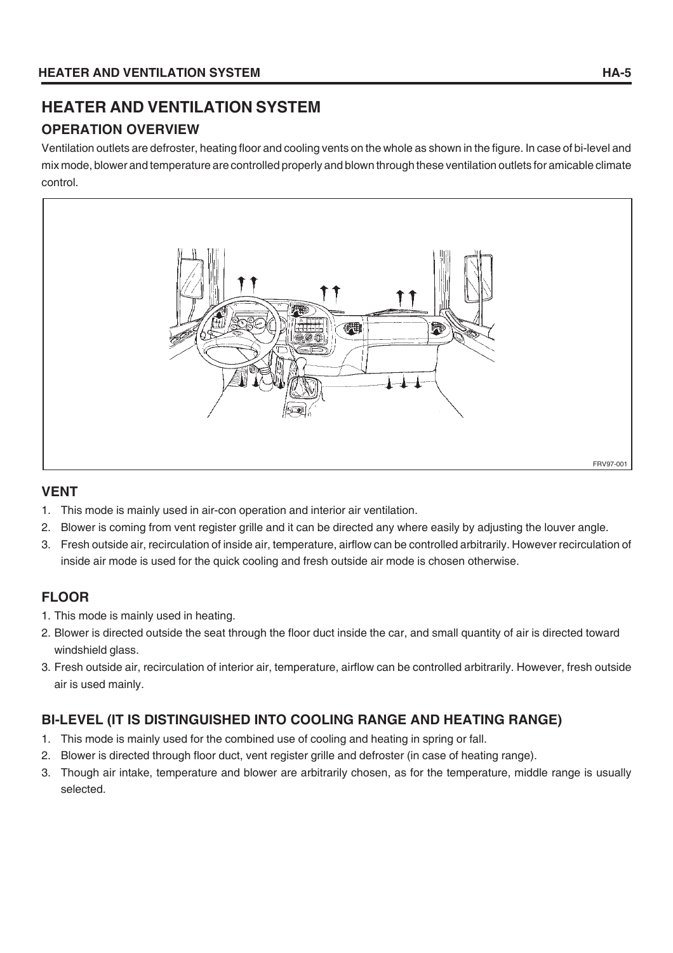# **HEATER AND VENTILATION SYSTEM OPERATION OVERVIEW**

Ventilation outlets are defroster, heating floor and cooling vents on the whole as shown in the figure. In case of bi-level and mix mode, blower and temperature are controlled properly and blown through these ventilation outlets for amicable climate control.



# **VENT**

- 1. This mode is mainly used in air-con operation and interior air ventilation.
- 2. Blower is coming from vent register grille and it can be directed any where easily by adjusting the louver angle.
- 3. Fresh outside air, recirculation of inside air, temperature, airflow can be controlled arbitrarily. However recirculation of inside air mode is used for the quick cooling and fresh outside air mode is chosen otherwise.

# **FLOOR**

- 1. This mode is mainly used in heating.
- 2. Blower is directed outside the seat through the floor duct inside the car, and small quantity of air is directed toward windshield glass.
- 3. Fresh outside air, recirculation of interior air, temperature, airflow can be controlled arbitrarily. However, fresh outside air is used mainly.

# **BI-LEVEL (IT IS DISTINGUISHED INTO COOLING RANGE AND HEATING RANGE)**

- 1. This mode is mainly used for the combined use of cooling and heating in spring or fall.
- 2. Blower is directed through floor duct, vent register grille and defroster (in case of heating range).
- 3. Though air intake, temperature and blower are arbitrarily chosen, as for the temperature, middle range is usually selected.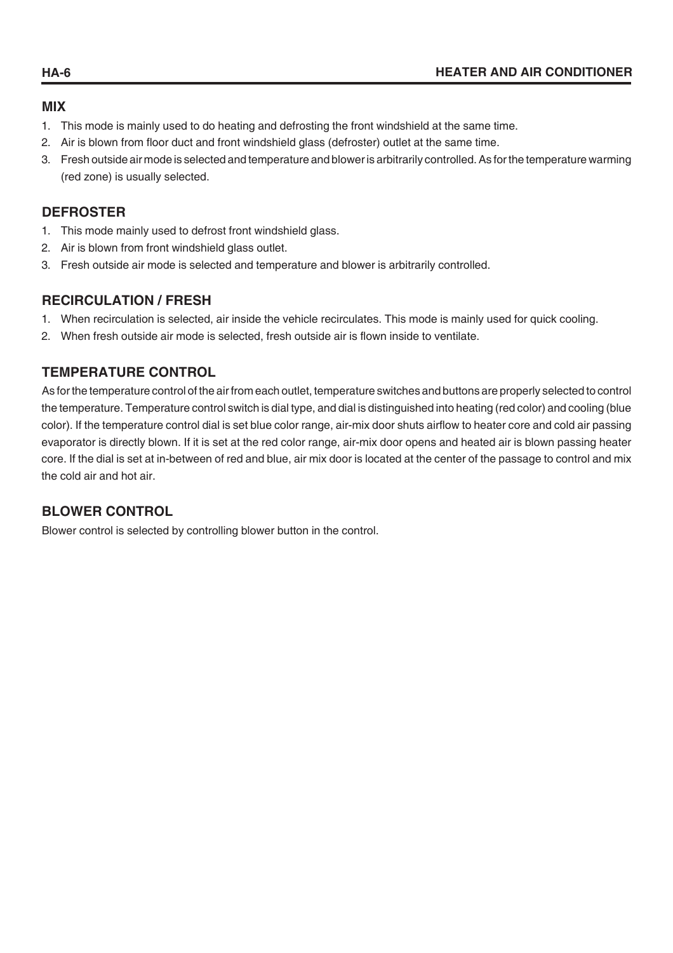## **MIX**

- 1. This mode is mainly used to do heating and defrosting the front windshield at the same time.
- 2. Air is blown from floor duct and front windshield glass (defroster) outlet at the same time.
- 3. Fresh outside air mode is selected and temperature and blower is arbitrarily controlled. As for the temperature warming (red zone) is usually selected.

# **DEFROSTER**

- 1. This mode mainly used to defrost front windshield glass.
- 2. Air is blown from front windshield glass outlet.
- 3. Fresh outside air mode is selected and temperature and blower is arbitrarily controlled.

#### **RECIRCULATION / FRESH**

- 1. When recirculation is selected, air inside the vehicle recirculates. This mode is mainly used for quick cooling.
- 2. When fresh outside air mode is selected, fresh outside air is flown inside to ventilate.

# **TEMPERATURE CONTROL**

As for the temperature control of the air from each outlet, temperature switches and buttons are properly selected to control the temperature. Temperature control switch is dial type, and dial is distinguished into heating (red color) and cooling (blue color). If the temperature control dial is set blue color range, air-mix door shuts airflow to heater core and cold air passing evaporator is directly blown. If it is set at the red color range, air-mix door opens and heated air is blown passing heater core. If the dial is set at in-between of red and blue, air mix door is located at the center of the passage to control and mix the cold air and hot air.

# **BLOWER CONTROL**

Blower control is selected by controlling blower button in the control.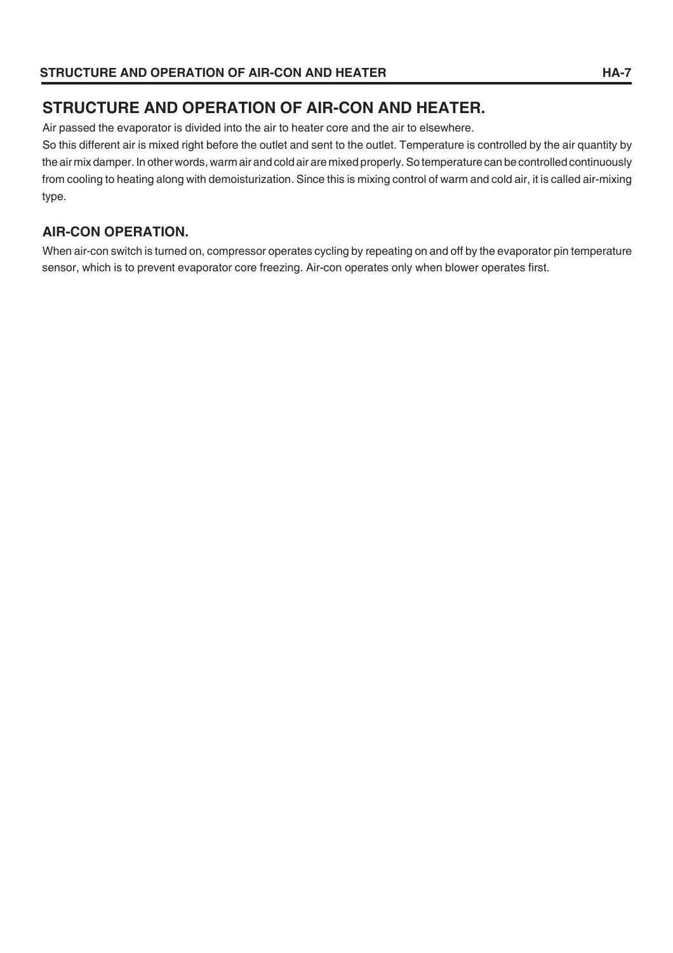# **STRUCTURE AND OPERATION OF AIR-CON AND HEATER.**

Air passed the evaporator is divided into the air to heater core and the air to elsewhere.

So this different air is mixed right before the outlet and sent to the outlet. Temperature is controlled by the air quantity by the air mix damper. In other words, warm air and cold air are mixed properly. So temperature can be controlled continuously from cooling to heating along with demoisturization. Since this is mixing control of warm and cold air, it is called air-mixing type.

# **AIR-CON OPERATION.**

When air-con switch is turned on, compressor operates cycling by repeating on and off by the evaporator pin temperature sensor, which is to prevent evaporator core freezing. Air-con operates only when blower operates first.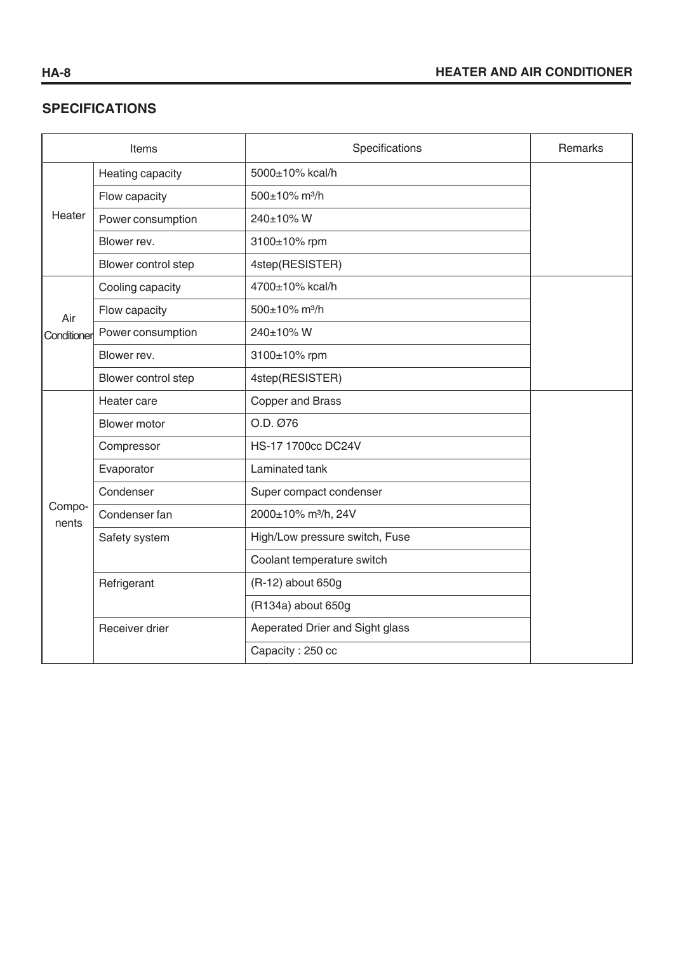# **SPECIFICATIONS**

| Items           |                                     | Specifications                  | <b>Remarks</b> |  |  |  |  |
|-----------------|-------------------------------------|---------------------------------|----------------|--|--|--|--|
|                 | Heating capacity<br>5000±10% kcal/h |                                 |                |  |  |  |  |
|                 | Flow capacity                       | 500±10% m <sup>3</sup> /h       |                |  |  |  |  |
| Heater          | Power consumption                   | 240±10% W                       |                |  |  |  |  |
|                 | Blower rev.                         | 3100±10% rpm                    |                |  |  |  |  |
|                 | Blower control step                 | 4step(RESISTER)                 |                |  |  |  |  |
|                 | Cooling capacity                    | 4700±10% kcal/h                 |                |  |  |  |  |
| Air             | Flow capacity                       | 500±10% m <sup>3</sup> /h       |                |  |  |  |  |
| Conditioner     | Power consumption                   | 240±10% W                       |                |  |  |  |  |
|                 | Blower rev.                         |                                 |                |  |  |  |  |
|                 | Blower control step                 | 4step(RESISTER)                 |                |  |  |  |  |
|                 | Heater care                         | <b>Copper and Brass</b>         |                |  |  |  |  |
|                 | <b>Blower motor</b>                 | O.D. Ø76                        |                |  |  |  |  |
|                 | Compressor                          | HS-17 1700cc DC24V              |                |  |  |  |  |
|                 | Evaporator                          | Laminated tank                  |                |  |  |  |  |
|                 | Condenser                           | Super compact condenser         |                |  |  |  |  |
| Compo-<br>nents | Condenser fan                       | 2000±10% m <sup>3</sup> /h, 24V |                |  |  |  |  |
|                 | Safety system                       | High/Low pressure switch, Fuse  |                |  |  |  |  |
|                 |                                     | Coolant temperature switch      |                |  |  |  |  |
|                 | Refrigerant                         | (R-12) about 650g               |                |  |  |  |  |
|                 |                                     | (R134a) about 650g              |                |  |  |  |  |
|                 | Receiver drier                      | Aeperated Drier and Sight glass |                |  |  |  |  |
|                 |                                     | Capacity: 250 cc                |                |  |  |  |  |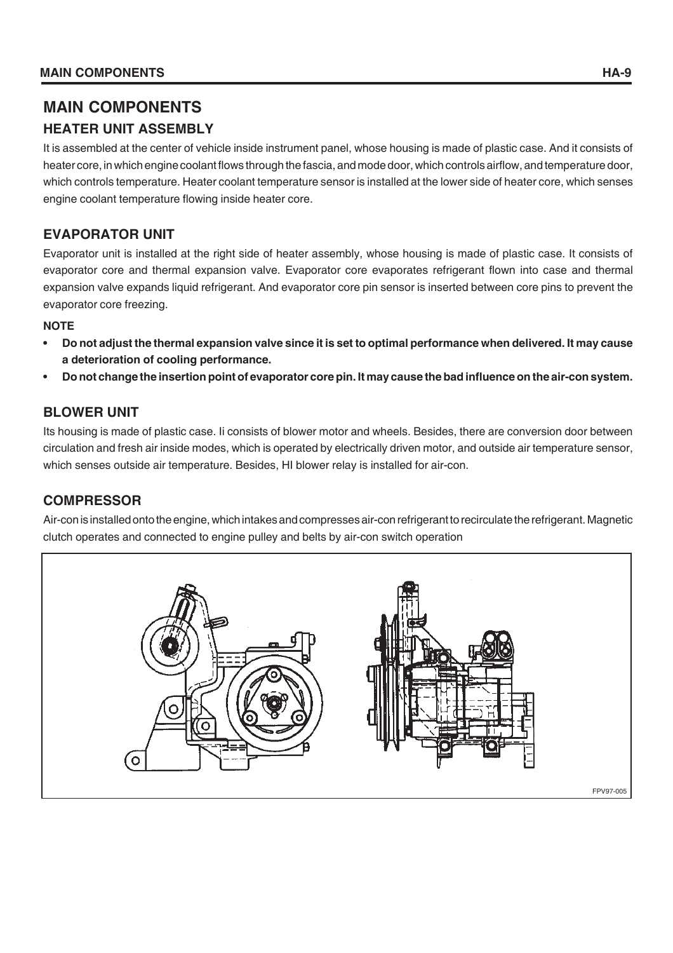# **MAIN COMPONENTS**

# **HEATER UNIT ASSEMBLY**

It is assembled at the center of vehicle inside instrument panel, whose housing is made of plastic case. And it consists of heater core, in which engine coolant flows through the fascia, and mode door, which controls airflow, and temperature door, which controls temperature. Heater coolant temperature sensor is installed at the lower side of heater core, which senses engine coolant temperature flowing inside heater core.

# **EVAPORATOR UNIT**

Evaporator unit is installed at the right side of heater assembly, whose housing is made of plastic case. It consists of evaporator core and thermal expansion valve. Evaporator core evaporates refrigerant flown into case and thermal expansion valve expands liquid refrigerant. And evaporator core pin sensor is inserted between core pins to prevent the evaporator core freezing.

#### **NOTE**

- **Do not adjust the thermal expansion valve since it is set to optimal performance when delivered. It may cause a deterioration of cooling performance.**
- **Do not change the insertion point of evaporator core pin. It may cause the bad influence on the air-con system.**

# **BLOWER UNIT**

Its housing is made of plastic case. Ii consists of blower motor and wheels. Besides, there are conversion door between circulation and fresh air inside modes, which is operated by electrically driven motor, and outside air temperature sensor, which senses outside air temperature. Besides, HI blower relay is installed for air-con.

# **COMPRESSOR**

Air-con is installed onto the engine, which intakes and compresses air-con refrigerant to recirculate the refrigerant. Magnetic clutch operates and connected to engine pulley and belts by air-con switch operation

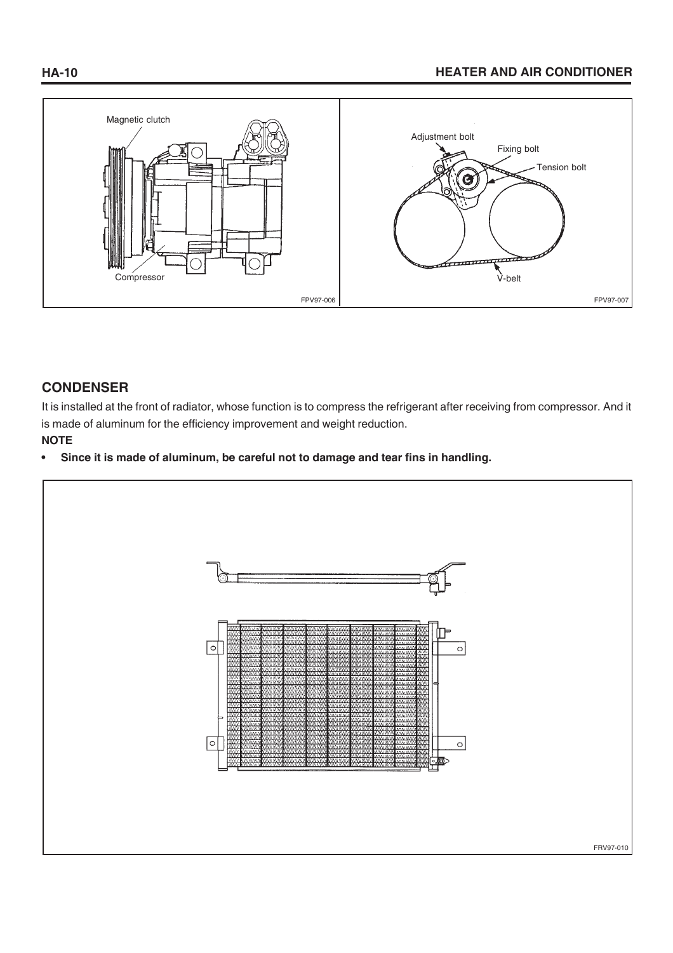# **HA-10 HEATER AND AIR CONDITIONER**



## **CONDENSER**

It is installed at the front of radiator, whose function is to compress the refrigerant after receiving from compressor. And it is made of aluminum for the efficiency improvement and weight reduction.

# **NOTE**

**• Since it is made of aluminum, be careful not to damage and tear fins in handling.**

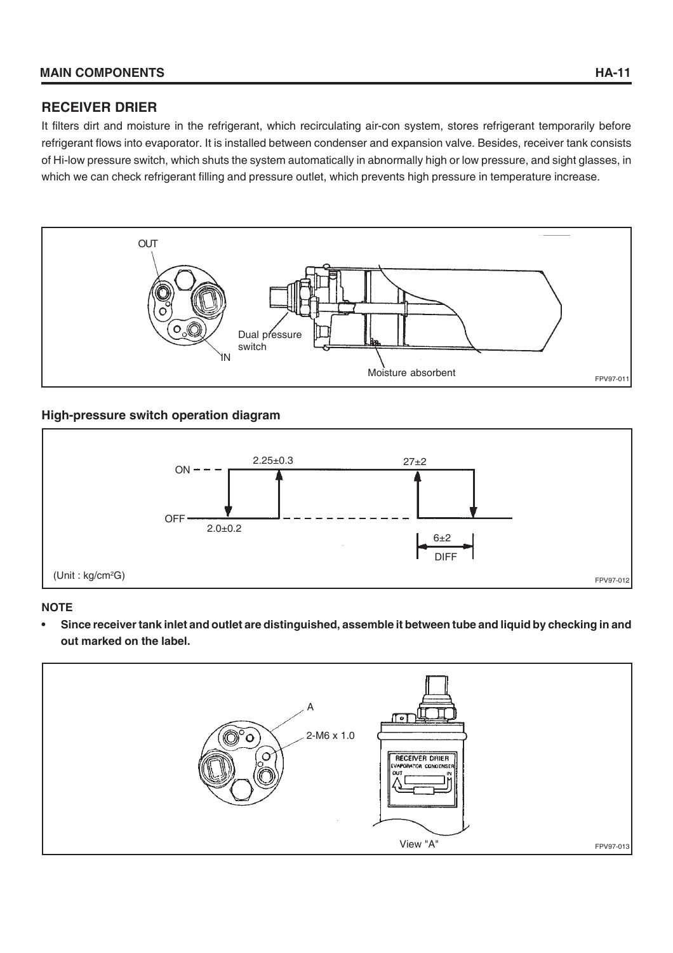## **RECEIVER DRIER**

It filters dirt and moisture in the refrigerant, which recirculating air-con system, stores refrigerant temporarily before refrigerant flows into evaporator. It is installed between condenser and expansion valve. Besides, receiver tank consists of Hi-low pressure switch, which shuts the system automatically in abnormally high or low pressure, and sight glasses, in which we can check refrigerant filling and pressure outlet, which prevents high pressure in temperature increase.



#### **High-pressure switch operation diagram**



#### **NOTE**

**• Since receiver tank inlet and outlet are distinguished, assemble it between tube and liquid by checking in and out marked on the label.**

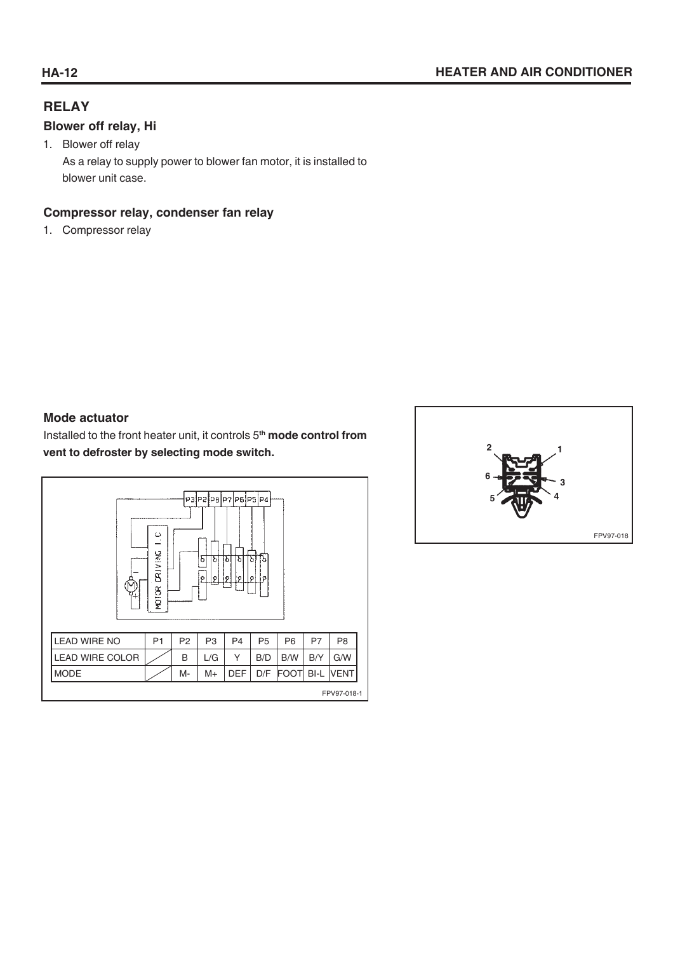# **RELAY**

#### **Blower off relay, Hi**

1. Blower off relay As a relay to supply power to blower fan motor, it is installed to blower unit case.

# **Compressor relay, condenser fan relay**

1. Compressor relay

## **Mode actuator**

Installed to the front heater unit, it controls 5**th mode control from vent to defroster by selecting mode switch.**

|                        | ပ<br>DRIVING<br>MOTOR |                | Б<br>b<br>ø<br>o | p3P2P8P7P8P5P4<br>b<br>ЪI<br>l Pi<br>ø | ò<br>lъ<br>o<br>í۵ |                |      |                |
|------------------------|-----------------------|----------------|------------------|----------------------------------------|--------------------|----------------|------|----------------|
| <b>LEAD WIRE NO</b>    | P <sub>1</sub>        | P <sub>2</sub> | P <sub>3</sub>   | P <sub>4</sub>                         | P <sub>5</sub>     | P <sub>6</sub> | P7   | P <sub>8</sub> |
| <b>LEAD WIRE COLOR</b> |                       | B              | L/G              | Υ                                      | B/D                | B/W            | B/Y  | G/W            |
| <b>MODE</b>            |                       | M-             | M+               | <b>DEF</b>                             | D/F                | <b>FOOT</b>    | BI-L | <b>VENT</b>    |
|                        |                       |                |                  |                                        |                    |                |      | FPV97-018-1    |

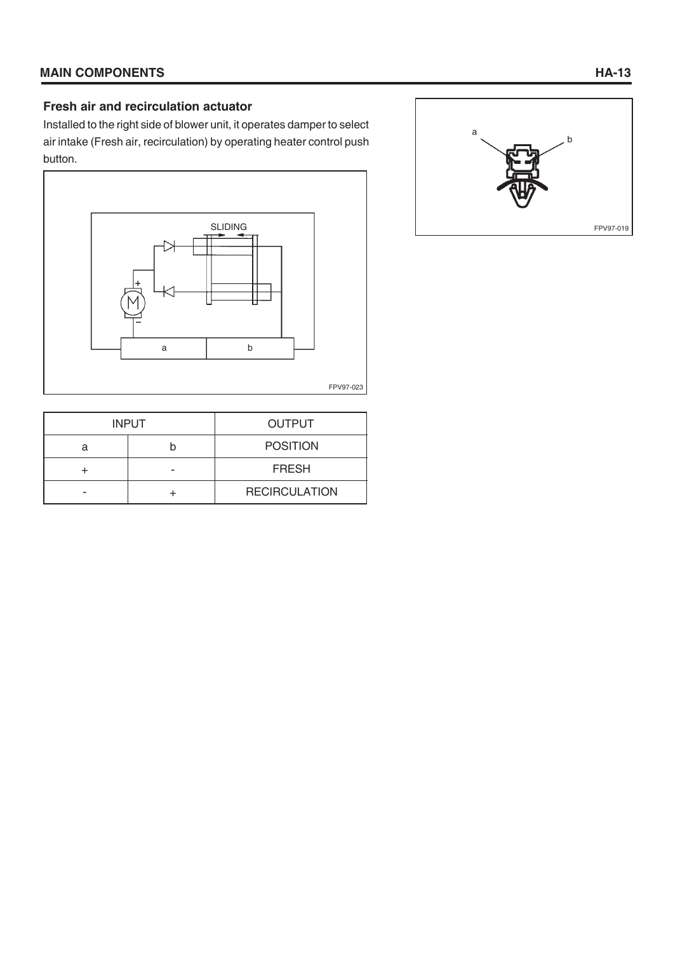#### **Fresh air and recirculation actuator**

Installed to the right side of blower unit, it operates damper to select air intake (Fresh air, recirculation) by operating heater control push button.



|   | <b>INPUT</b> | <b>OUTPUT</b>        |
|---|--------------|----------------------|
| а |              | <b>POSITION</b>      |
|   |              | <b>FRESH</b>         |
|   |              | <b>RECIRCULATION</b> |

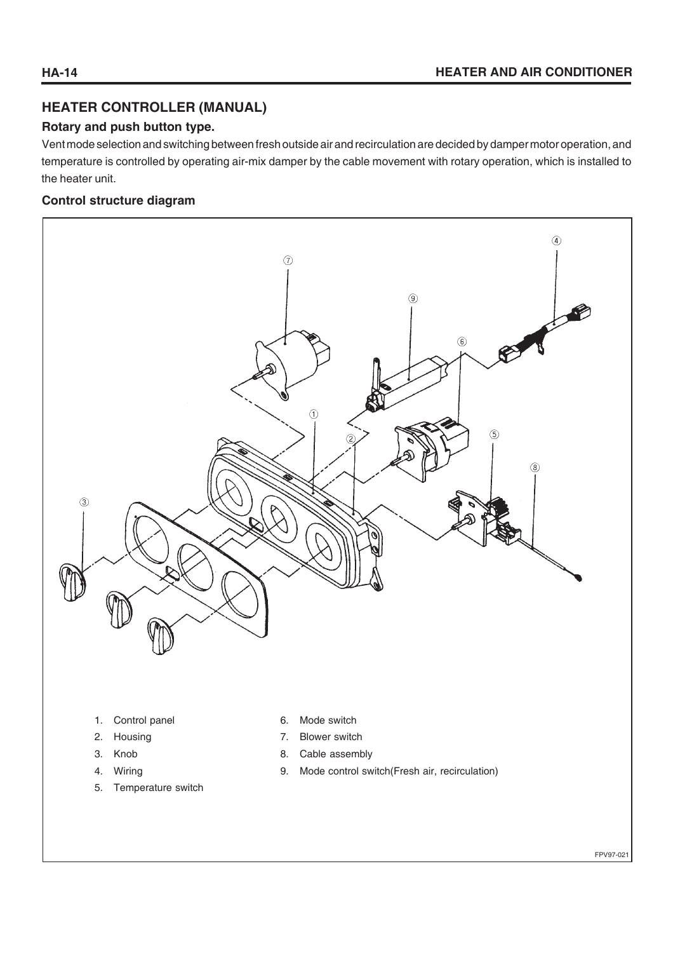# **HEATER CONTROLLER (MANUAL)**

#### **Rotary and push button type.**

Vent mode selection and switching between fresh outside air and recirculation are decided by damper motor operation, and temperature is controlled by operating air-mix damper by the cable movement with rotary operation, which is installed to the heater unit.

#### **Control structure diagram**



- 1. Control panel
- 2. Housing
- 3. Knob
- 4. Wiring
- 5. Temperature switch
- 6. Mode switch
- 7. Blower switch
- 8. Cable assembly
- 9. Mode control switch(Fresh air, recirculation)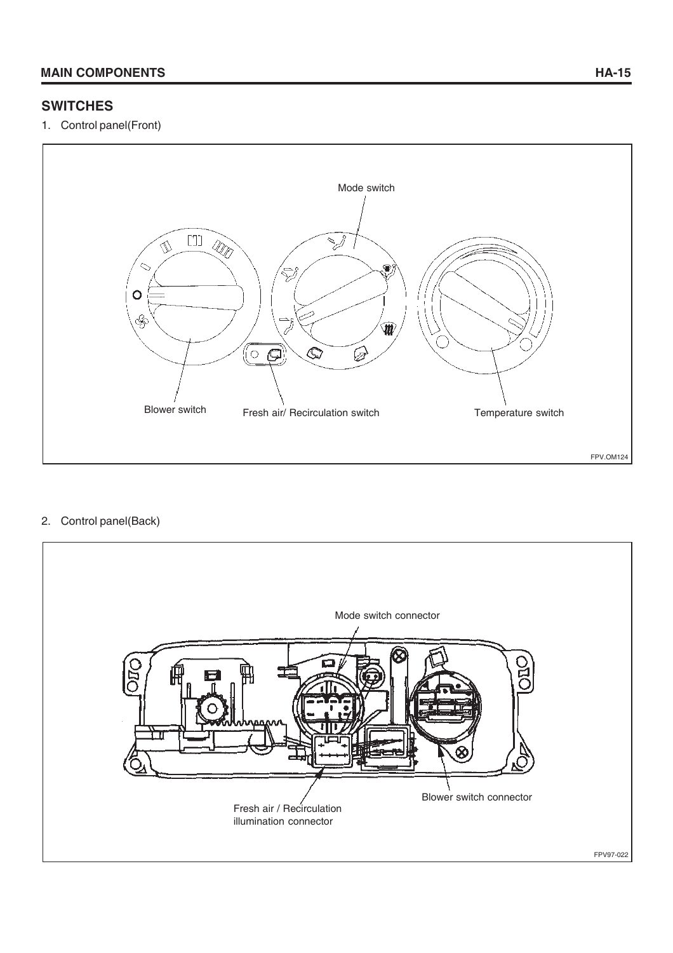# **SWITCHES**

1. Control panel(Front)



#### 2. Control panel(Back)

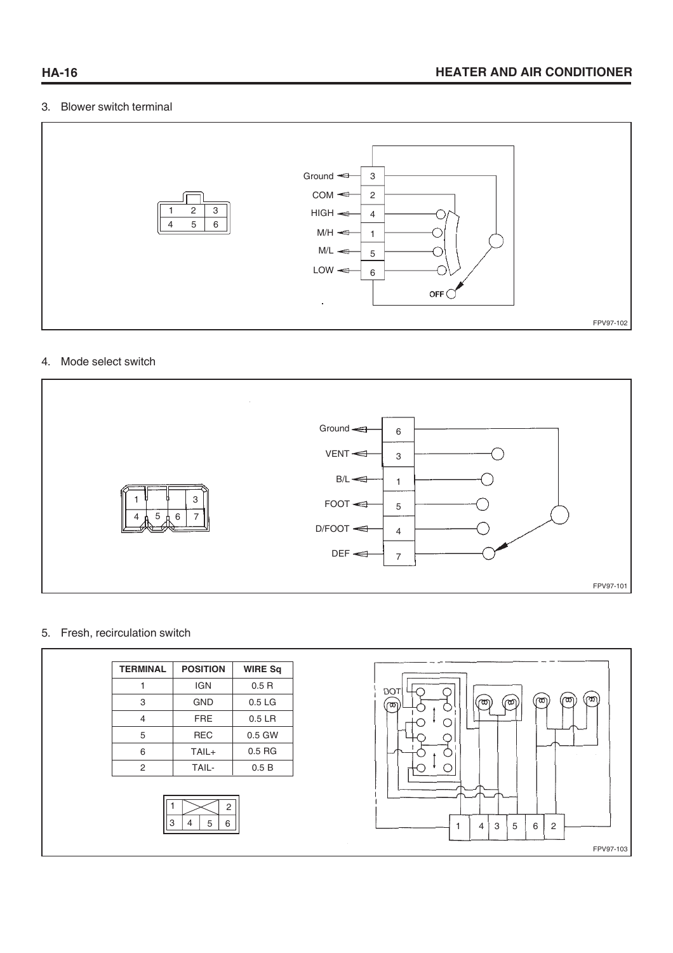#### 3. Blower switch terminal



#### 4. Mode select switch



#### 5. Fresh, recirculation switch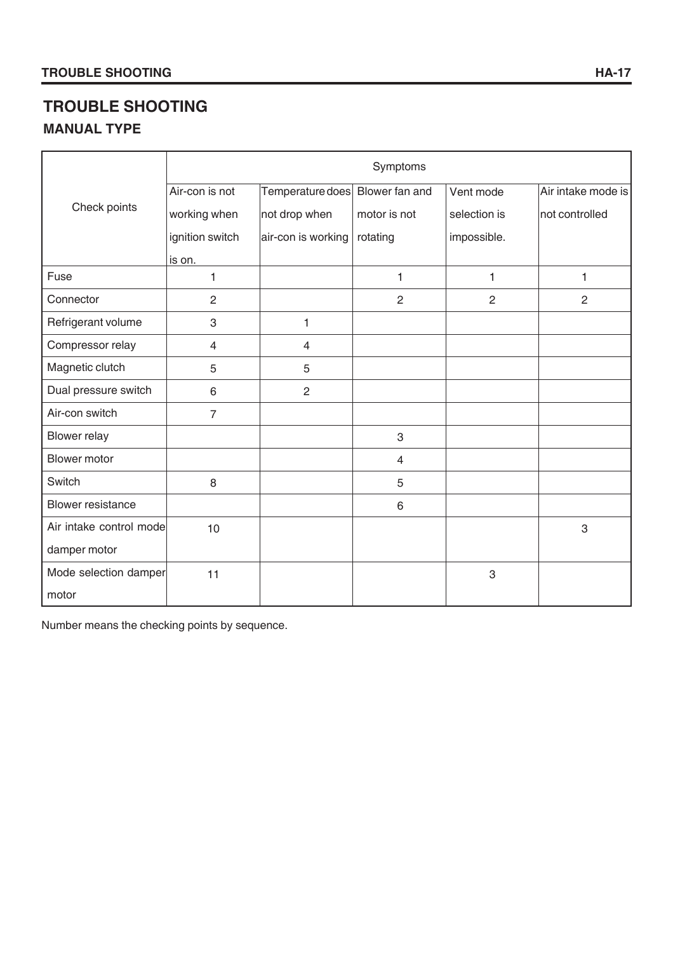# **TROUBLE SHOOTING**

# **MANUAL TYPE**

|                          | Symptoms        |                                 |                |                |                    |  |  |
|--------------------------|-----------------|---------------------------------|----------------|----------------|--------------------|--|--|
|                          | Air-con is not  | Temperature does Blower fan and |                | Vent mode      | Air intake mode is |  |  |
| Check points             | working when    | not drop when                   | motor is not   | selection is   | not controlled     |  |  |
|                          | ignition switch | air-con is working              | rotating       | impossible.    |                    |  |  |
|                          | is on.          |                                 |                |                |                    |  |  |
| Fuse                     | $\mathbf{1}$    |                                 | 1              | 1              | 1                  |  |  |
| Connector                | $\overline{2}$  |                                 | $\overline{2}$ | $\overline{2}$ | 2                  |  |  |
| Refrigerant volume       | 3               | 1                               |                |                |                    |  |  |
| Compressor relay         | 4               | $\overline{4}$                  |                |                |                    |  |  |
| Magnetic clutch          | 5               | 5                               |                |                |                    |  |  |
| Dual pressure switch     | 6               | $\overline{2}$                  |                |                |                    |  |  |
| Air-con switch           | $\overline{7}$  |                                 |                |                |                    |  |  |
| <b>Blower relay</b>      |                 |                                 | 3              |                |                    |  |  |
| Blower motor             |                 |                                 | $\overline{4}$ |                |                    |  |  |
| Switch                   | 8               |                                 | 5              |                |                    |  |  |
| <b>Blower resistance</b> |                 |                                 | 6              |                |                    |  |  |
| Air intake control mode  | 10              |                                 |                |                | 3                  |  |  |
| damper motor             |                 |                                 |                |                |                    |  |  |
| Mode selection damper    | 11              |                                 |                | 3              |                    |  |  |
| motor                    |                 |                                 |                |                |                    |  |  |

Number means the checking points by sequence.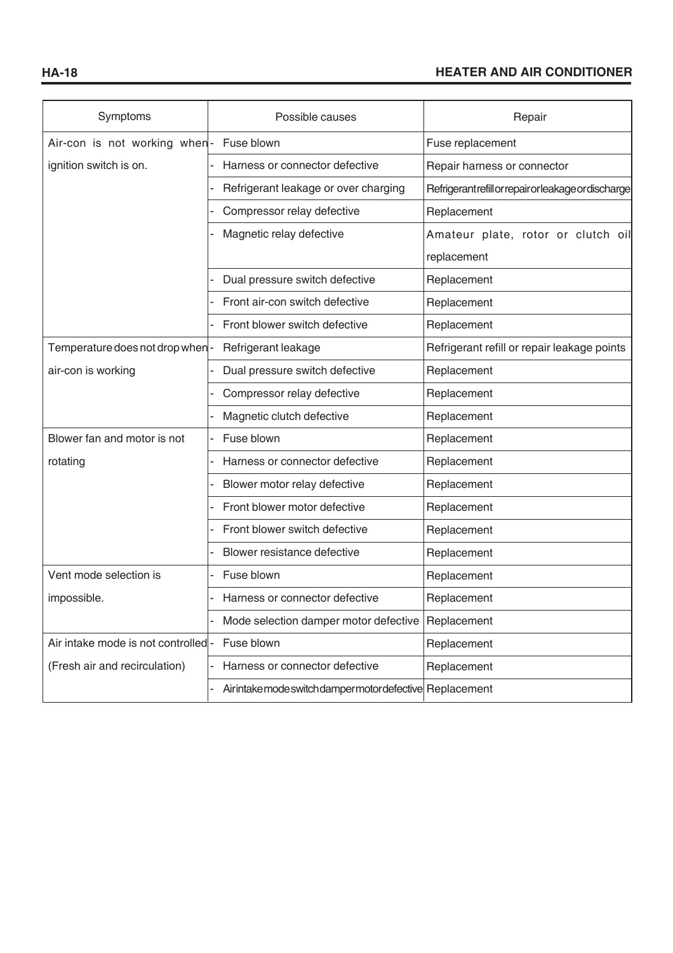| Symptoms                           | Possible causes                                     | Repair                                               |
|------------------------------------|-----------------------------------------------------|------------------------------------------------------|
| Air-con is not working when-       | Fuse blown                                          | Fuse replacement                                     |
| ignition switch is on.             | Harness or connector defective                      | Repair harness or connector                          |
|                                    | Refrigerant leakage or over charging                | Refrigerant refill or repair or leakage or discharge |
|                                    | Compressor relay defective                          | Replacement                                          |
|                                    | Magnetic relay defective                            | Amateur plate, rotor or clutch oil                   |
|                                    |                                                     | replacement                                          |
|                                    | Dual pressure switch defective                      | Replacement                                          |
|                                    | Front air-con switch defective                      | Replacement                                          |
|                                    | Front blower switch defective                       | Replacement                                          |
| Temperature does not drop when-    | Refrigerant leakage                                 | Refrigerant refill or repair leakage points          |
| air-con is working                 | Dual pressure switch defective                      | Replacement                                          |
|                                    | Compressor relay defective                          | Replacement                                          |
|                                    | Magnetic clutch defective                           | Replacement                                          |
| Blower fan and motor is not        | Fuse blown                                          | Replacement                                          |
| rotating                           | Harness or connector defective                      | Replacement                                          |
|                                    | Blower motor relay defective                        | Replacement                                          |
|                                    | Front blower motor defective                        | Replacement                                          |
|                                    | Front blower switch defective                       | Replacement                                          |
|                                    | Blower resistance defective                         | Replacement                                          |
| Vent mode selection is             | Fuse blown                                          | Replacement                                          |
| impossible.                        | Harness or connector defective                      | Replacement                                          |
|                                    | Mode selection damper motor defective               | Replacement                                          |
| Air intake mode is not controlled- | Fuse blown                                          | Replacement                                          |
| (Fresh air and recirculation)      | Harness or connector defective                      | Replacement                                          |
|                                    | Airintakemodeswitchdampermotordefective Replacement |                                                      |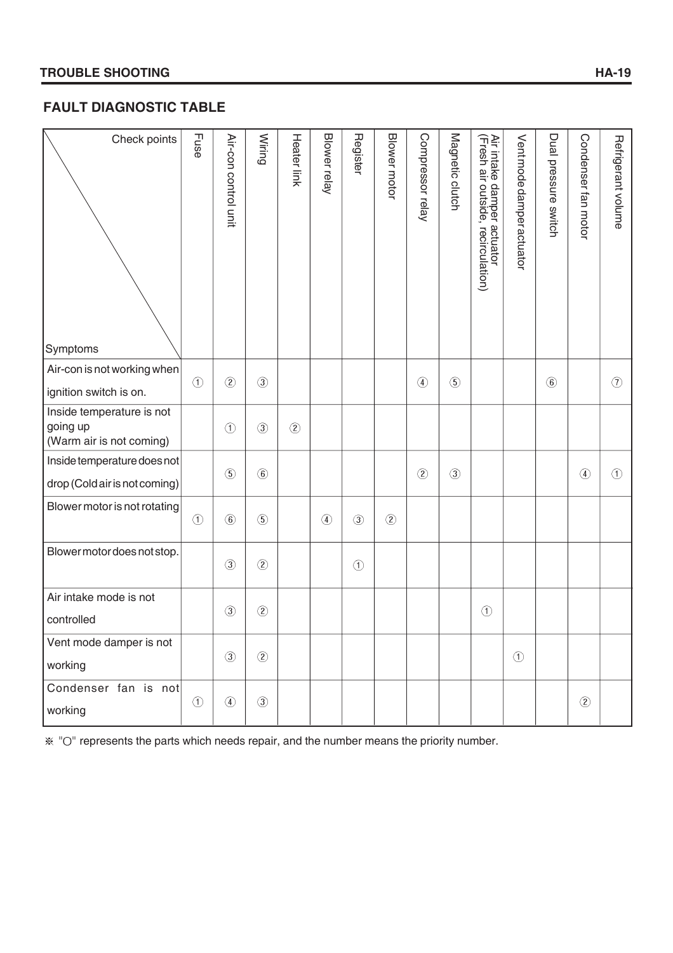# **FAULT DIAGNOSTIC TABLE**

| Check points                                                      | Fuse          | Air-con control unit | Wiring        | <b>Heater link</b> | Blower relay  | Register      | Blower motor  | Compressor relay | Magnetic clutch | Air intake damper actuator<br>(Fresh air outside, recircula<br>recirculation) | Vent mode damper actuator | Dual pressure switch | Condenser fan motor | Refrigerant volume |
|-------------------------------------------------------------------|---------------|----------------------|---------------|--------------------|---------------|---------------|---------------|------------------|-----------------|-------------------------------------------------------------------------------|---------------------------|----------------------|---------------------|--------------------|
| Symptoms                                                          |               |                      |               |                    |               |               |               |                  |                 |                                                                               |                           |                      |                     |                    |
| Air-con is not working when<br>ignition switch is on.             | $\odot$       | (2)                  | $\circled{3}$ |                    |               |               |               | $\circled{4}$    | $\circledS$     |                                                                               |                           | $\circled{6}$        |                     | $\circled{1}$      |
| Inside temperature is not<br>going up<br>(Warm air is not coming) |               | $\circled{1}$        | $\circled{3}$ | $\circled{2}$      |               |               |               |                  |                 |                                                                               |                           |                      |                     |                    |
| Inside temperature does not<br>drop (Cold air is not coming)      |               | $\circled{5}$        | $\circled{6}$ |                    |               |               |               | $\circled{2}$    | $\circled{3}$   |                                                                               |                           |                      | $\circled{4}$       | $\odot$            |
| Blower motor is not rotating                                      | $\odot$       | $\circled{6}$        | $\circled{5}$ |                    | $\circled{4}$ | $\circled{3}$ | $\circled{2}$ |                  |                 |                                                                               |                           |                      |                     |                    |
| Blower motor does not stop.                                       |               | $\circled{3}$        | $\circled{2}$ |                    |               | $\odot$       |               |                  |                 |                                                                               |                           |                      |                     |                    |
| Air intake mode is not<br>controlled                              |               | $\circled{3}$        | $\circled{2}$ |                    |               |               |               |                  |                 | $^{\circledR}$                                                                |                           |                      |                     |                    |
| Vent mode damper is not<br>working                                |               | $\circled{3}$        | (2)           |                    |               |               |               |                  |                 |                                                                               | $\odot$                   |                      |                     |                    |
| Condenser fan is not<br>working                                   | $\circled{1}$ | $\circled{4}$        | $\circled{3}$ |                    |               |               |               |                  |                 |                                                                               |                           |                      | $\circled{2}$       |                    |

 $\%$  "O" represents the parts which needs repair, and the number means the priority number.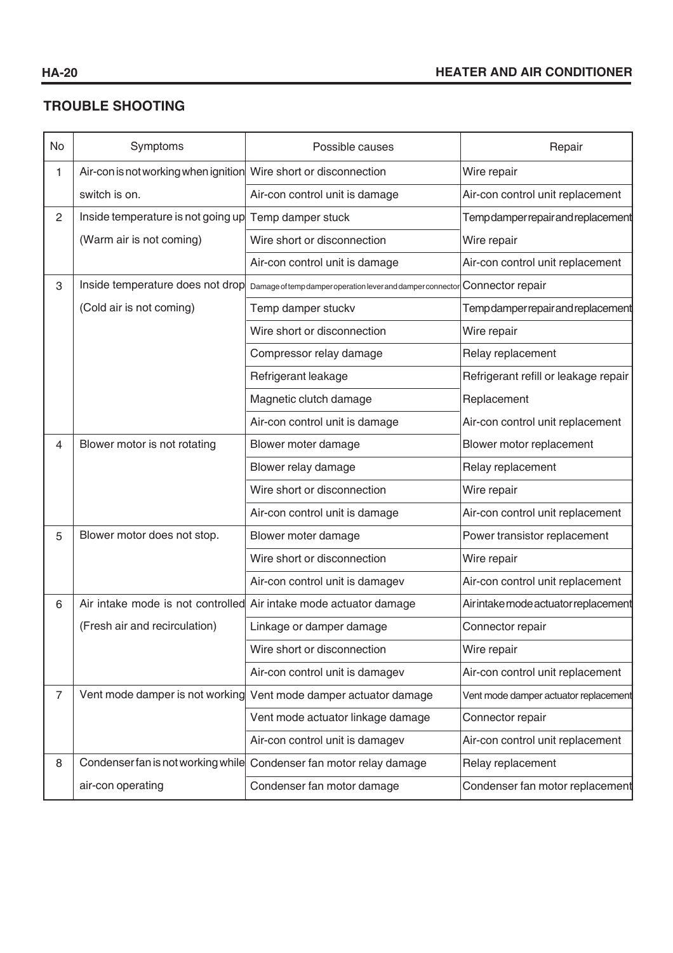# **TROUBLE SHOOTING**

| No             | Symptoms                                                         | Possible causes                                                             | Repair                                |
|----------------|------------------------------------------------------------------|-----------------------------------------------------------------------------|---------------------------------------|
| 1              | Air-con is not working when ignition Wire short or disconnection |                                                                             | Wire repair                           |
|                | switch is on.                                                    | Air-con control unit is damage                                              | Air-con control unit replacement      |
| $\overline{c}$ | Inside temperature is not going up Temp damper stuck             |                                                                             | Temp damper repair and replacement    |
|                | (Warm air is not coming)                                         | Wire short or disconnection                                                 | Wire repair                           |
|                |                                                                  | Air-con control unit is damage                                              | Air-con control unit replacement      |
| 3              | Inside temperature does not drop                                 | Damage of temp damper operation lever and damper connector Connector repair |                                       |
|                | (Cold air is not coming)                                         | Temp damper stuckv                                                          | Temp damper repair and replacement    |
|                |                                                                  | Wire short or disconnection                                                 | Wire repair                           |
|                |                                                                  | Compressor relay damage                                                     | Relay replacement                     |
|                |                                                                  | Refrigerant leakage                                                         | Refrigerant refill or leakage repair  |
|                |                                                                  | Magnetic clutch damage                                                      | Replacement                           |
|                |                                                                  | Air-con control unit is damage                                              | Air-con control unit replacement      |
| 4              | Blower motor is not rotating                                     | Blower moter damage                                                         | Blower motor replacement              |
|                |                                                                  | Blower relay damage                                                         | Relay replacement                     |
|                |                                                                  | Wire short or disconnection                                                 | Wire repair                           |
|                |                                                                  | Air-con control unit is damage                                              | Air-con control unit replacement      |
| 5              | Blower motor does not stop.                                      | Blower moter damage                                                         | Power transistor replacement          |
|                |                                                                  | Wire short or disconnection                                                 | Wire repair                           |
|                |                                                                  | Air-con control unit is damagev                                             | Air-con control unit replacement      |
| 6              |                                                                  | Air intake mode is not controlled Air intake mode actuator damage           | Air intake mode actuator replacement  |
|                | (Fresh air and recirculation)                                    | Linkage or damper damage                                                    | Connector repair                      |
|                |                                                                  | Wire short or disconnection                                                 | Wire repair                           |
|                |                                                                  | Air-con control unit is damagev                                             | Air-con control unit replacement      |
| $\overline{7}$ | Vent mode damper is not working                                  | Vent mode damper actuator damage                                            | Vent mode damper actuator replacement |
|                |                                                                  | Vent mode actuator linkage damage                                           | Connector repair                      |
|                |                                                                  | Air-con control unit is damagev                                             | Air-con control unit replacement      |
| 8              | Condenser fan is not working while                               | Condenser fan motor relay damage                                            | Relay replacement                     |
|                | air-con operating                                                | Condenser fan motor damage                                                  | Condenser fan motor replacement       |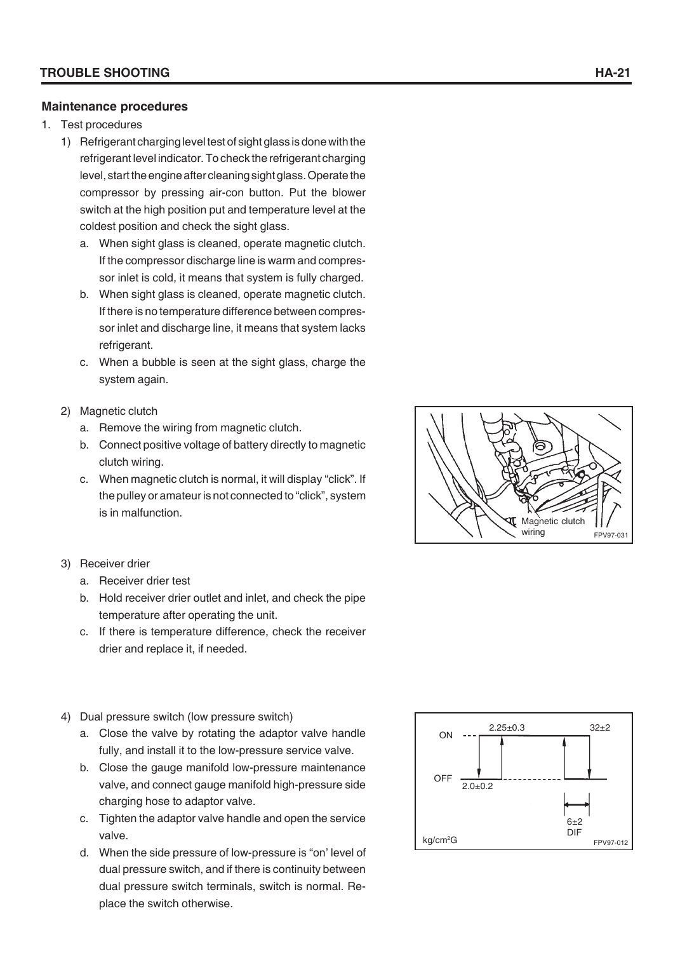#### **Maintenance procedures**

- 1. Test procedures
	- 1) Refrigerant charging level test of sight glass is done with the refrigerant level indicator. To check the refrigerant charging level, start the engine after cleaning sight glass. Operate the compressor by pressing air-con button. Put the blower switch at the high position put and temperature level at the coldest position and check the sight glass.
		- a. When sight glass is cleaned, operate magnetic clutch. If the compressor discharge line is warm and compressor inlet is cold, it means that system is fully charged.
		- b. When sight glass is cleaned, operate magnetic clutch. If there is no temperature difference between compressor inlet and discharge line, it means that system lacks refrigerant.
		- c. When a bubble is seen at the sight glass, charge the system again.
	- 2) Magnetic clutch
		- a. Remove the wiring from magnetic clutch.
		- b. Connect positive voltage of battery directly to magnetic clutch wiring.
		- c. When magnetic clutch is normal, it will display "click". If the pulley or amateur is not connected to "click", system is in malfunction.
	- 3) Receiver drier
		- a. Receiver drier test
		- b. Hold receiver drier outlet and inlet, and check the pipe temperature after operating the unit.
		- c. If there is temperature difference, check the receiver drier and replace it, if needed.
	- 4) Dual pressure switch (low pressure switch)
		- a. Close the valve by rotating the adaptor valve handle fully, and install it to the low-pressure service valve.
		- b. Close the gauge manifold low-pressure maintenance valve, and connect gauge manifold high-pressure side charging hose to adaptor valve.
		- c. Tighten the adaptor valve handle and open the service valve.
		- d. When the side pressure of low-pressure is "on' level of dual pressure switch, and if there is continuity between dual pressure switch terminals, switch is normal. Replace the switch otherwise.



 $kg/cm<sup>2</sup>G$  FPV97-012

FPV97-031 Magnetic clutch wiring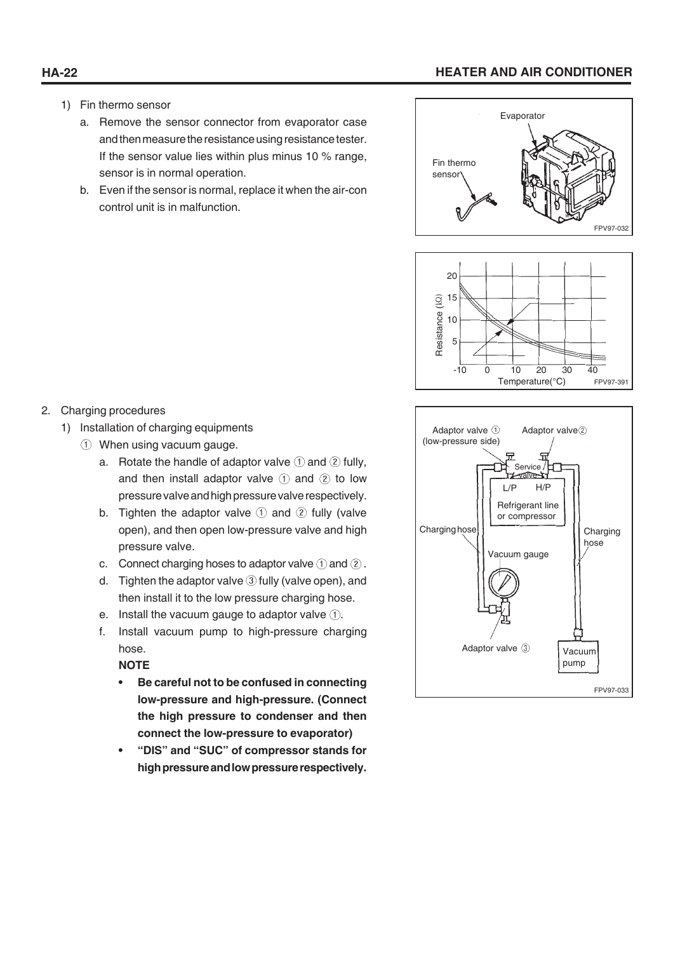## **HA-22 HEATER AND AIR CONDITIONER**

- 1) Fin thermo sensor
	- a. Remove the sensor connector from evaporator case and then measure the resistance using resistance tester. If the sensor value lies within plus minus 10 % range, sensor is in normal operation.
	- b. Even if the sensor is normal, replace it when the air-con control unit is in malfunction.



FPV97-033

Vacuum pump

Adaptor valve 3



- 1) Installation of charging equipments
	- When using vacuum gauge.
		- a. Rotate the handle of adaptor valve  $\mathcal D$  and  $\mathcal Q$  fully, and then install adaptor valve  $(1)$  and  $(2)$  to low pressure valve and high pressure valve respectively.
		- b. Tighten the adaptor valve  $\odot$  and  $\odot$  fully (valve open), and then open low-pressure valve and high pressure valve.
		- c. Connect charging hoses to adaptor valve  $\odot$  and  $\odot$ .
		- d. Tighten the adaptor valve  $\circled{3}$  fully (valve open), and then install it to the low pressure charging hose.
		- e. Install the vacuum gauge to adaptor valve  $(1)$ .
		- f. Install vacuum pump to high-pressure charging hose.

**NOTE**

- **Be careful not to be confused in connecting low-pressure and high-pressure. (Connect the high pressure to condenser and then connect the low-pressure to evaporator)**
- **"DIS" and "SUC" of compressor stands for high pressure and low pressure respectively.**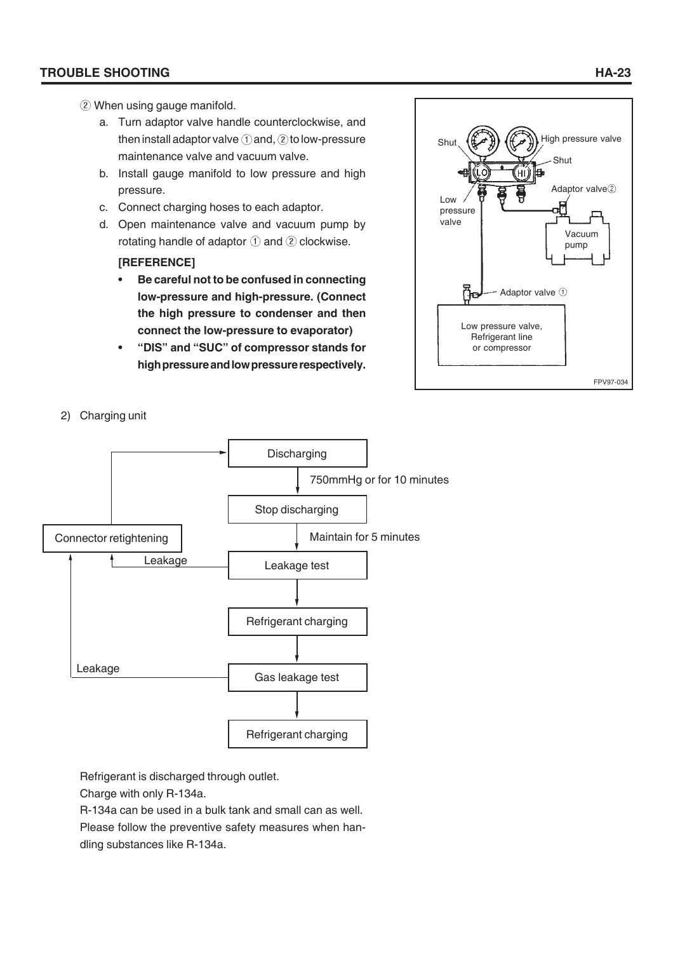#### **TROUBLE SHOOTING HA-23**

- When using gauge manifold.
	- a. Turn adaptor valve handle counterclockwise, and then install adaptor valve  $\odot$  and,  $\odot$  to low-pressure maintenance valve and vacuum valve.
	- b. Install gauge manifold to low pressure and high pressure.
	- c. Connect charging hoses to each adaptor.
	- d. Open maintenance valve and vacuum pump by rotating handle of adaptor  $(1)$  and  $(2)$  clockwise.

#### **[REFERENCE]**

- **Be careful not to be confused in connecting low-pressure and high-pressure. (Connect the high pressure to condenser and then connect the low-pressure to evaporator)**
- **"DIS" and "SUC" of compressor stands for high pressure and low pressure respectively.**



2) Charging unit



Refrigerant is discharged through outlet.

Charge with only R-134a.

R-134a can be used in a bulk tank and small can as well. Please follow the preventive safety measures when handling substances like R-134a.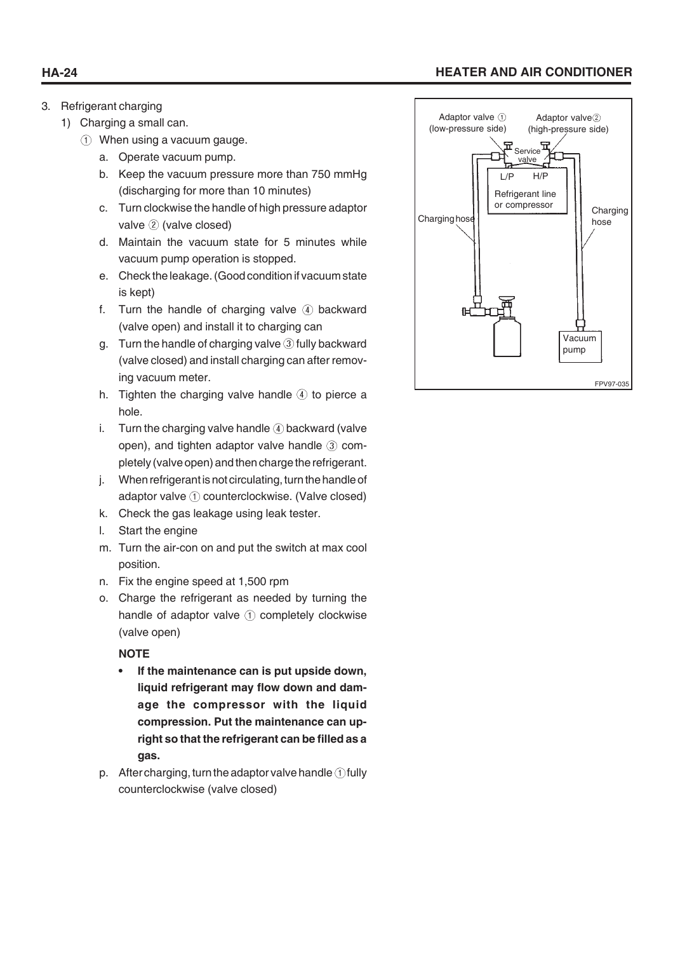# **HA-24 HEATER AND AIR CONDITIONER**

- 3. Refrigerant charging
	- 1) Charging a small can.
		- When using a vacuum gauge.
			- a. Operate vacuum pump.
			- b. Keep the vacuum pressure more than 750 mmHg (discharging for more than 10 minutes)
			- c. Turn clockwise the handle of high pressure adaptor valve 2 (valve closed)
			- d. Maintain the vacuum state for 5 minutes while vacuum pump operation is stopped.
			- e. Check the leakage. (Good condition if vacuum state is kept)
			- f. Turn the handle of charging valve  $\Phi$  backward (valve open) and install it to charging can
			- g. Turn the handle of charging valve  $\circled{3}$  fully backward (valve closed) and install charging can after removing vacuum meter.
			- h. Tighten the charging valve handle  $\overline{4}$  to pierce a hole.
			- i. Turn the charging valve handle  $\Phi$  backward (valve open), and tighten adaptor valve handle  $\circled{3}$  completely (valve open) and then charge the refrigerant.
			- j. When refrigerant is not circulating, turn the handle of adaptor valve ① counterclockwise. (Valve closed)
			- k. Check the gas leakage using leak tester.
			- l. Start the engine
			- m. Turn the air-con on and put the switch at max cool position.
			- n. Fix the engine speed at 1,500 rpm
			- o. Charge the refrigerant as needed by turning the handle of adaptor valve  $(1)$  completely clockwise (valve open)

#### **NOTE**

- **If the maintenance can is put upside down, liquid refrigerant may flow down and damage the compressor with the liquid compression. Put the maintenance can upright so that the refrigerant can be filled as a gas.**
- p. After charging, turn the adaptor valve handle  $\oplus$  fully counterclockwise (valve closed)

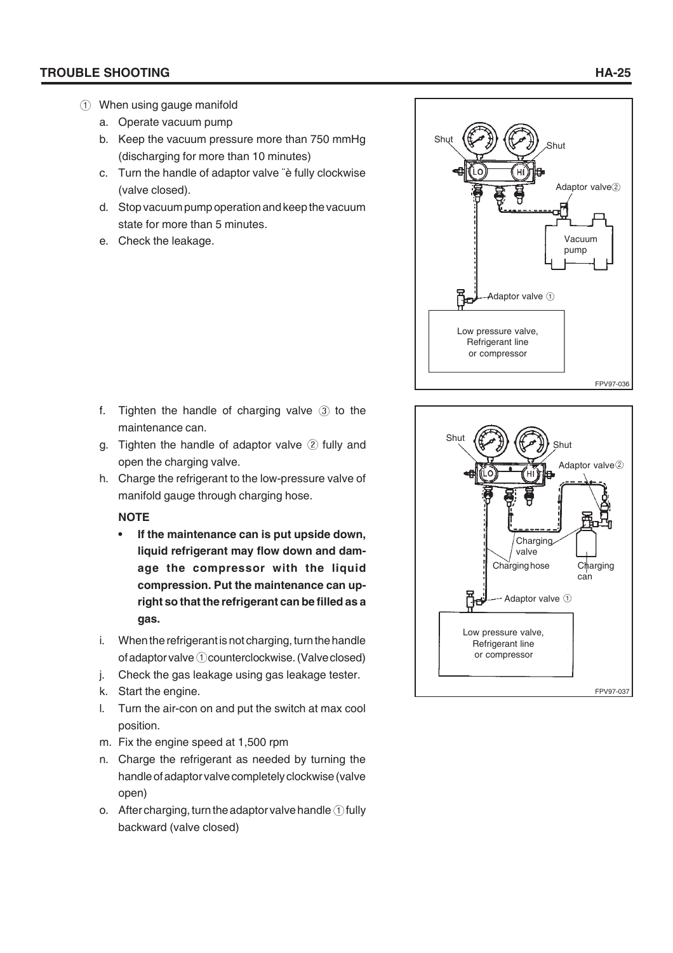#### **TROUBLE SHOOTING HA-25**

- When using gauge manifold
	- a. Operate vacuum pump
	- b. Keep the vacuum pressure more than 750 mmHg (discharging for more than 10 minutes)
	- c. Turn the handle of adaptor valve ¨è fully clockwise (valve closed).
	- d. Stop vacuum pump operation and keep the vacuum state for more than 5 minutes.
	- e. Check the leakage.



- g. Tighten the handle of adaptor valve  $(2)$  fully and open the charging valve.
- h. Charge the refrigerant to the low-pressure valve of manifold gauge through charging hose.

#### **NOTE**

- **If the maintenance can is put upside down, liquid refrigerant may flow down and damage the compressor with the liquid compression. Put the maintenance can upright so that the refrigerant can be filled as a gas.**
- i. When the refrigerant is not charging, turn the handle of adaptor valve  $\odot$  counterclockwise. (Valve closed)
- j. Check the gas leakage using gas leakage tester.
- k. Start the engine.
- l. Turn the air-con on and put the switch at max cool position.
- m. Fix the engine speed at 1,500 rpm
- n. Charge the refrigerant as needed by turning the handle of adaptor valve completely clockwise (valve open)
- o. After charging, turn the adaptor valve handle  $\odot$  fully backward (valve closed)



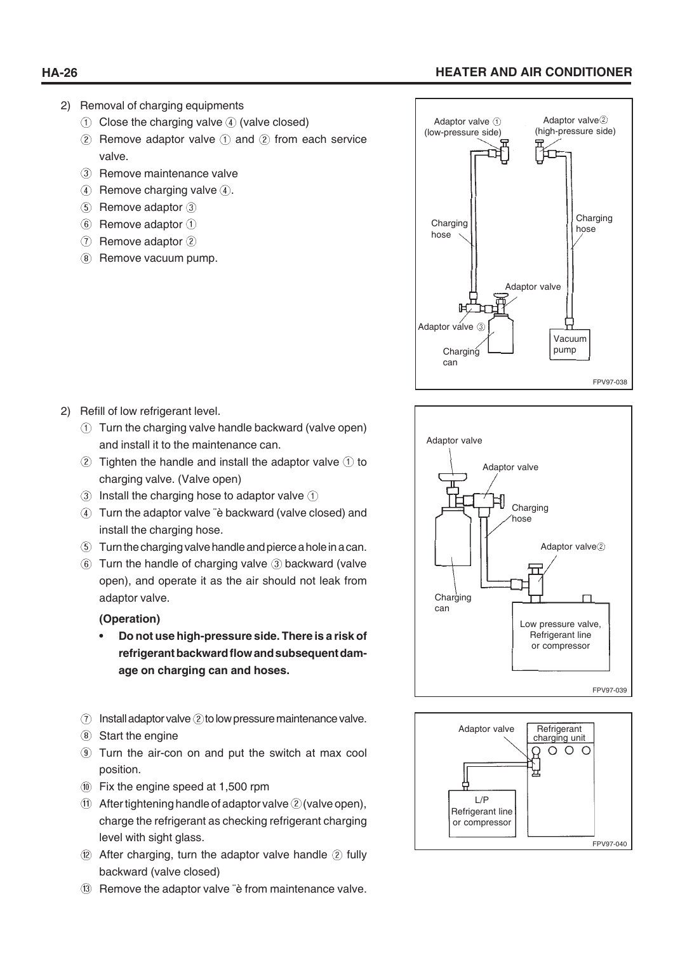# **HA-26 HEATER AND AIR CONDITIONER**

- 2) Removal of charging equipments
	- $\circled{1}$  Close the charging valve  $\circled{4}$  (valve closed)
	- $(2)$  Remove adaptor valve  $(1)$  and  $(2)$  from each service valve.
	- 3 Remove maintenance valve
	- $\overline{A}$  Remove charging valve  $\overline{A}$ .
	- $(5)$  Remove adaptor  $(3)$
	- $6$  Remove adaptor  $(1)$
	- $(7)$  Remove adaptor  $(2)$
	- 8 Remove vacuum pump.

- 2) Refill of low refrigerant level.
	- Turn the charging valve handle backward (valve open) and install it to the maintenance can.
	- $\odot$  Tighten the handle and install the adaptor valve  $\odot$  to charging valve. (Valve open)
	- $\circled{1}$  Install the charging hose to adaptor valve  $\circled{1}$
	- Turn the adaptor valve ¨è backward (valve closed) and install the charging hose.
	- Turn the charging valve handle and pierce a hole in a can.
	- $6$  Turn the handle of charging valve  $3$  backward (valve open), and operate it as the air should not leak from adaptor valve.

#### **(Operation)**

- **Do not use high-pressure side. There is a risk of refrigerant backward flow and subsequent damage on charging can and hoses.**
- $\Omega$  Install adaptor valve  $\Omega$  to low pressure maintenance valve.
- Start the engine
- Turn the air-con on and put the switch at max cool position.
- Fix the engine speed at 1,500 rpm
- $(1)$  After tightening handle of adaptor valve  $(2)$  (valve open), charge the refrigerant as checking refrigerant charging level with sight glass.
- $\circledR$  After charging, turn the adaptor valve handle  $\circledR$  fully backward (valve closed)
- (13) Remove the adaptor valve "è from maintenance valve.





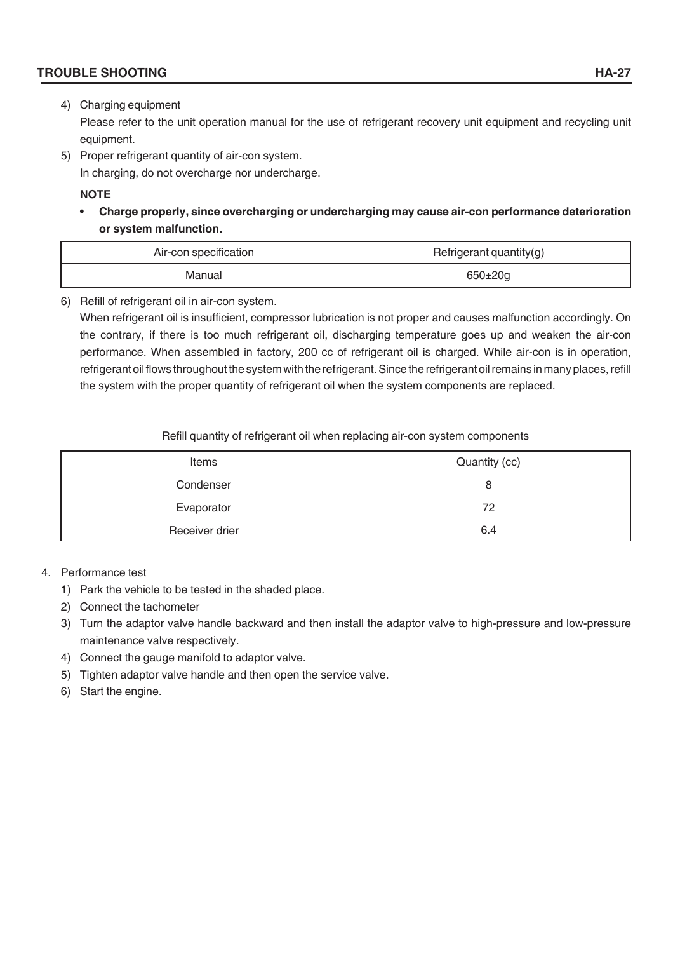#### **TROUBLE SHOOTING**

#### 4) Charging equipment

Please refer to the unit operation manual for the use of refrigerant recovery unit equipment and recycling unit equipment.

5) Proper refrigerant quantity of air-con system.

In charging, do not overcharge nor undercharge.

#### **NOTE**

**• Charge properly, since overcharging or undercharging may cause air-con performance deterioration or system malfunction.**

| Air-con specification | Refrigerant quantity(g) |
|-----------------------|-------------------------|
| Manual                | $650 \pm 20$ g          |

6) Refill of refrigerant oil in air-con system.

When refrigerant oil is insufficient, compressor lubrication is not proper and causes malfunction accordingly. On the contrary, if there is too much refrigerant oil, discharging temperature goes up and weaken the air-con performance. When assembled in factory, 200 cc of refrigerant oil is charged. While air-con is in operation, refrigerant oil flows throughout the system with the refrigerant. Since the refrigerant oil remains in many places, refill the system with the proper quantity of refrigerant oil when the system components are replaced.

Refill quantity of refrigerant oil when replacing air-con system components

| Items          | Quantity (cc) |  |
|----------------|---------------|--|
| Condenser      | O             |  |
| Evaporator     | 72            |  |
| Receiver drier | 6.4           |  |

#### 4. Performance test

- 1) Park the vehicle to be tested in the shaded place.
- 2) Connect the tachometer
- 3) Turn the adaptor valve handle backward and then install the adaptor valve to high-pressure and low-pressure maintenance valve respectively.
- 4) Connect the gauge manifold to adaptor valve.
- 5) Tighten adaptor valve handle and then open the service valve.
- 6) Start the engine.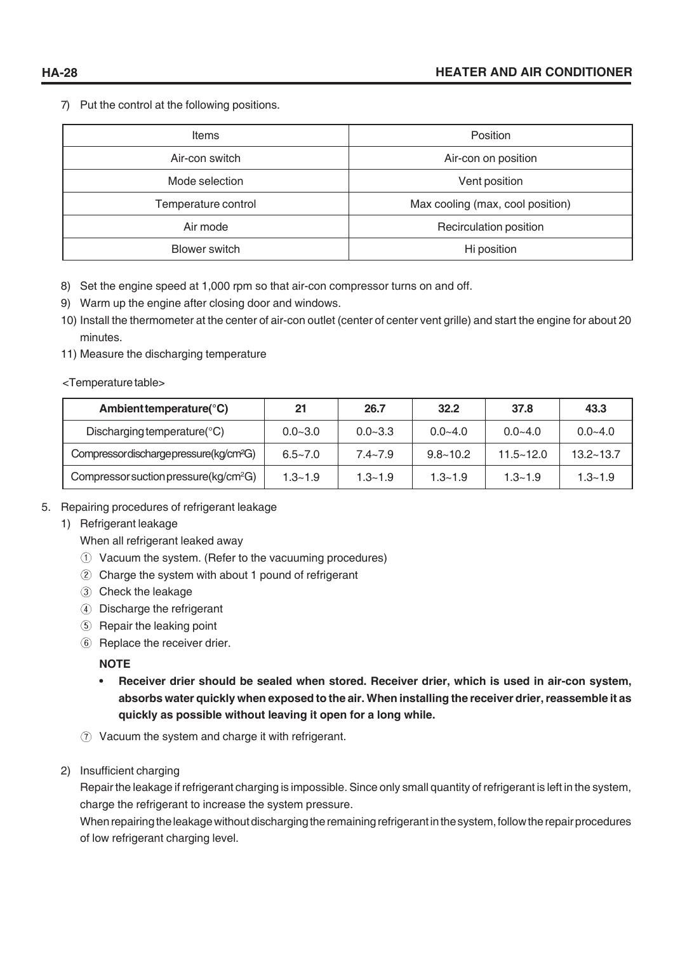7) Put the control at the following positions.

| Items                | Position                         |  |
|----------------------|----------------------------------|--|
| Air-con switch       | Air-con on position              |  |
| Mode selection       | Vent position                    |  |
| Temperature control  | Max cooling (max, cool position) |  |
| Air mode             | Recirculation position           |  |
| <b>Blower switch</b> | Hi position                      |  |

- 8) Set the engine speed at 1,000 rpm so that air-con compressor turns on and off.
- 9) Warm up the engine after closing door and windows.
- 10) Install the thermometer at the center of air-con outlet (center of center vent grille) and start the engine for about 20 minutes.
- 11) Measure the discharging temperature

#### <Temperature table>

| Ambient temperature( ${}^{\circ}$ C)              | 21          | 26.7        | 32.2         | 37.8          | 43.3          |
|---------------------------------------------------|-------------|-------------|--------------|---------------|---------------|
| Discharging temperature( ${}^{\circ}$ C)          | $0.0 - 3.0$ | $0.0 - 3.3$ | $0.0 - 4.0$  | $0.0 - 4.0$   | $0.0 - 4.0$   |
| Compressordischargepressure(kg/cm <sup>2</sup> G) | $6.5 - 7.0$ | $7.4 - 7.9$ | $9.8 - 10.2$ | $11.5 - 12.0$ | $13.2 - 13.7$ |
| Compressor suction pressure ( $kg/cm2G$ )         | $1.3 - 1.9$ | $1.3 - 1.9$ | $1.3 - 1.9$  | $1.3 - 1.9$   | $1.3 - 1.9$   |

- 5. Repairing procedures of refrigerant leakage
	- 1) Refrigerant leakage

When all refrigerant leaked away

- Vacuum the system. (Refer to the vacuuming procedures)
- Charge the system with about 1 pound of refrigerant
- Check the leakage
- Discharge the refrigerant
- **(5) Repair the leaking point**
- 6 Replace the receiver drier.

#### **NOTE**

- **Receiver drier should be sealed when stored. Receiver drier, which is used in air-con system, absorbs water quickly when exposed to the air. When installing the receiver drier, reassemble it as quickly as possible without leaving it open for a long while.**
- Vacuum the system and charge it with refrigerant.
- 2) Insufficient charging

Repair the leakage if refrigerant charging is impossible. Since only small quantity of refrigerant is left in the system, charge the refrigerant to increase the system pressure.

When repairing the leakage without discharging the remaining refrigerant in the system, follow the repair procedures of low refrigerant charging level.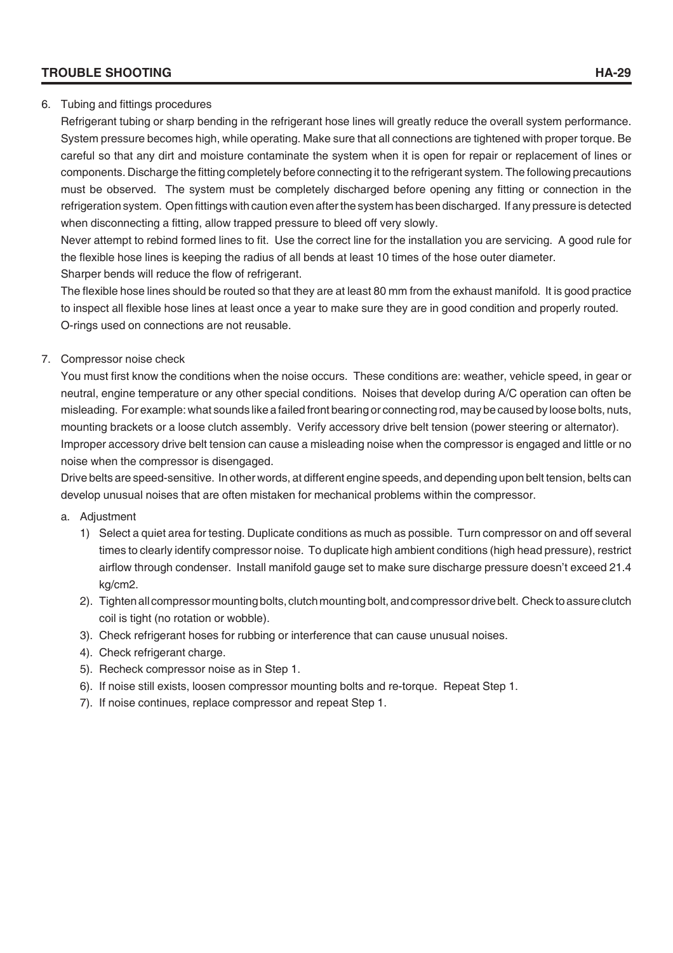#### **TROUBLE SHOOTING HA-29**

#### 6. Tubing and fittings procedures

Refrigerant tubing or sharp bending in the refrigerant hose lines will greatly reduce the overall system performance. System pressure becomes high, while operating. Make sure that all connections are tightened with proper torque. Be careful so that any dirt and moisture contaminate the system when it is open for repair or replacement of lines or components. Discharge the fitting completely before connecting it to the refrigerant system. The following precautions must be observed. The system must be completely discharged before opening any fitting or connection in the refrigeration system. Open fittings with caution even after the system has been discharged. If any pressure is detected when disconnecting a fitting, allow trapped pressure to bleed off very slowly.

Never attempt to rebind formed lines to fit. Use the correct line for the installation you are servicing. A good rule for the flexible hose lines is keeping the radius of all bends at least 10 times of the hose outer diameter. Sharper bends will reduce the flow of refrigerant.

The flexible hose lines should be routed so that they are at least 80 mm from the exhaust manifold. It is good practice to inspect all flexible hose lines at least once a year to make sure they are in good condition and properly routed. O-rings used on connections are not reusable.

#### 7. Compressor noise check

You must first know the conditions when the noise occurs. These conditions are: weather, vehicle speed, in gear or neutral, engine temperature or any other special conditions. Noises that develop during A/C operation can often be misleading. For example: what sounds like a failed front bearing or connecting rod, may be caused by loose bolts, nuts, mounting brackets or a loose clutch assembly. Verify accessory drive belt tension (power steering or alternator). Improper accessory drive belt tension can cause a misleading noise when the compressor is engaged and little or no noise when the compressor is disengaged.

Drive belts are speed-sensitive. In other words, at different engine speeds, and depending upon belt tension, belts can develop unusual noises that are often mistaken for mechanical problems within the compressor.

#### a. Adjustment

- 1) Select a quiet area for testing. Duplicate conditions as much as possible. Turn compressor on and off several times to clearly identify compressor noise. To duplicate high ambient conditions (high head pressure), restrict airflow through condenser. Install manifold gauge set to make sure discharge pressure doesn't exceed 21.4 kg/cm2.
- 2). Tighten all compressor mounting bolts, clutch mounting bolt, and compressor drive belt. Check to assure clutch coil is tight (no rotation or wobble).
- 3). Check refrigerant hoses for rubbing or interference that can cause unusual noises.
- 4). Check refrigerant charge.
- 5). Recheck compressor noise as in Step 1.
- 6). If noise still exists, loosen compressor mounting bolts and re-torque. Repeat Step 1.
- 7). If noise continues, replace compressor and repeat Step 1.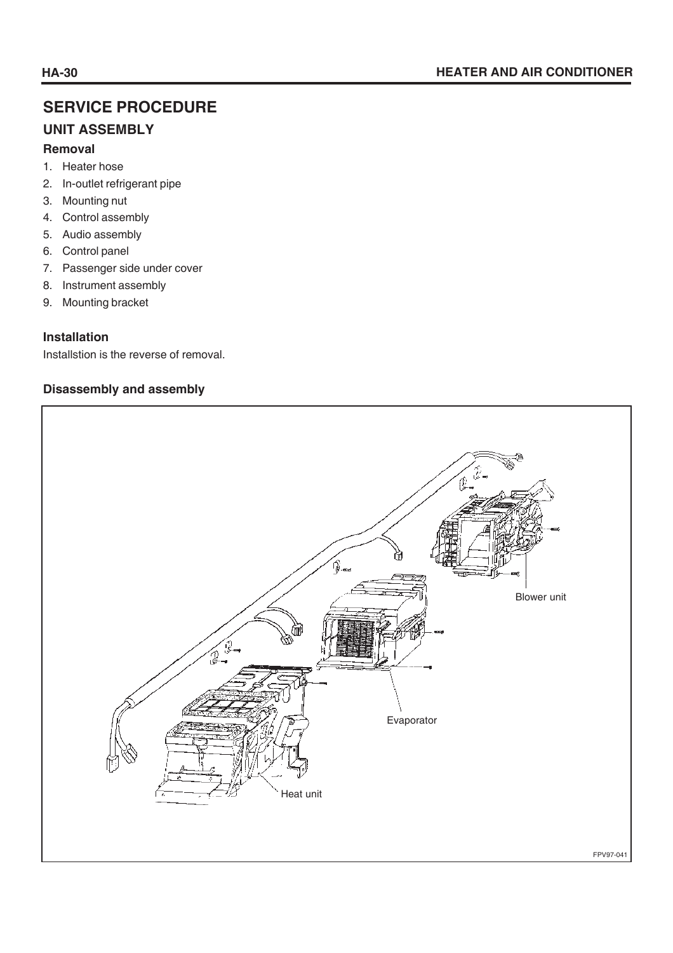# **SERVICE PROCEDURE**

# **UNIT ASSEMBLY**

#### **Removal**

- 1. Heater hose
- 2. In-outlet refrigerant pipe
- 3. Mounting nut
- 4. Control assembly
- 5. Audio assembly
- 6. Control panel
- 7. Passenger side under cover
- 8. Instrument assembly
- 9. Mounting bracket

# **Installation**

Installstion is the reverse of removal.

#### **Disassembly and assembly**

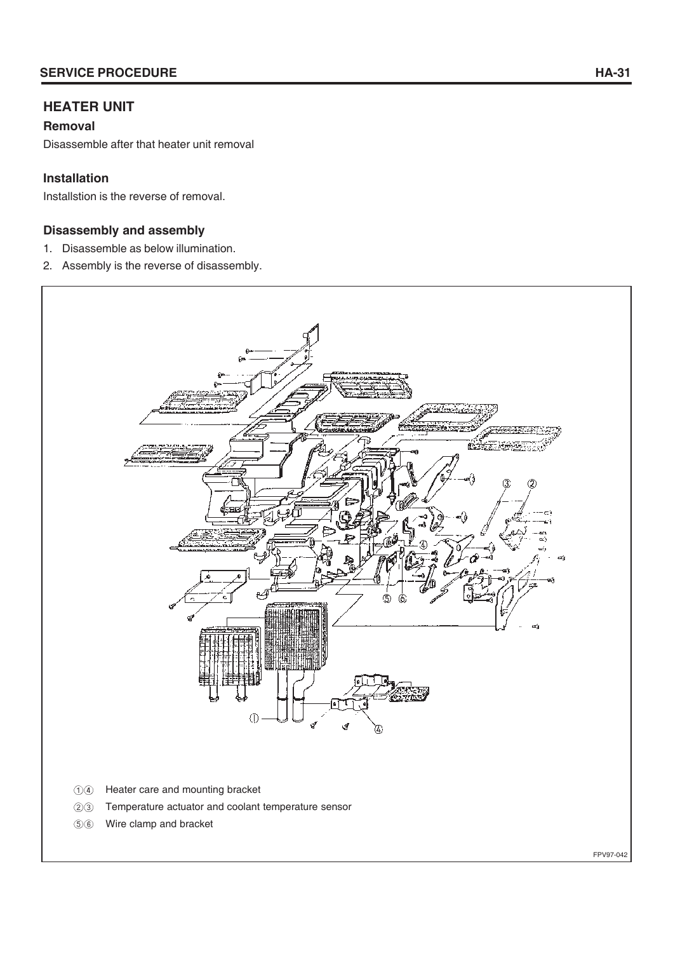# **HEATER UNIT**

#### **Removal**

Disassemble after that heater unit removal

#### **Installation**

Installstion is the reverse of removal.

#### **Disassembly and assembly**

- 1. Disassemble as below illumination.
- 2. Assembly is the reverse of disassembly.



 $\circledS$ Wire clamp and bracket

FPV97-042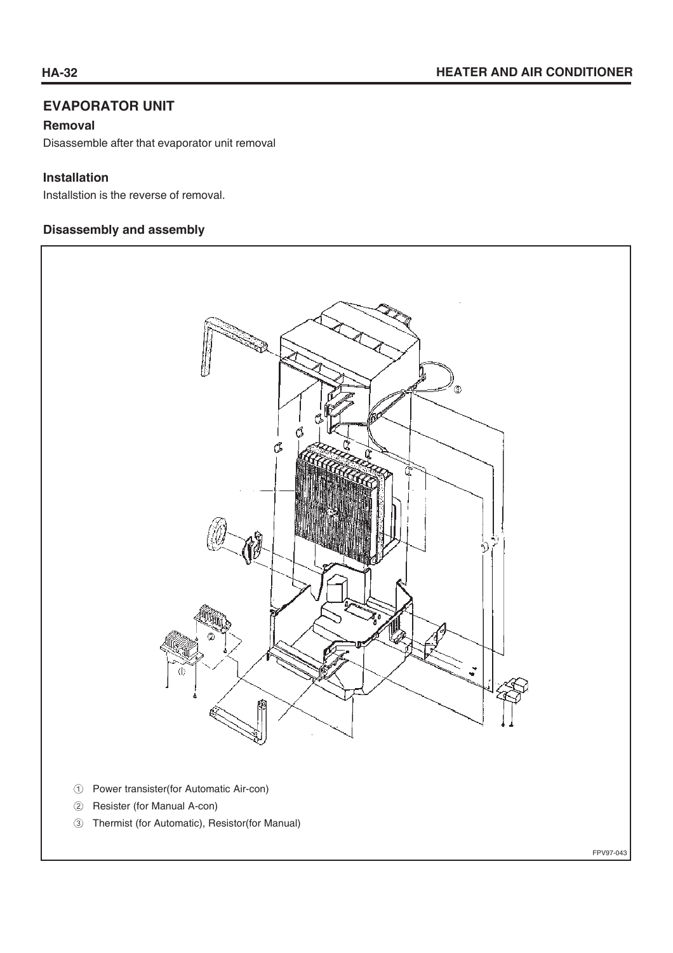FPV97-043

# **EVAPORATOR UNIT**

#### **Removal**

Disassemble after that evaporator unit removal

#### **Installation**

Installstion is the reverse of removal.

#### **Disassembly and assembly**

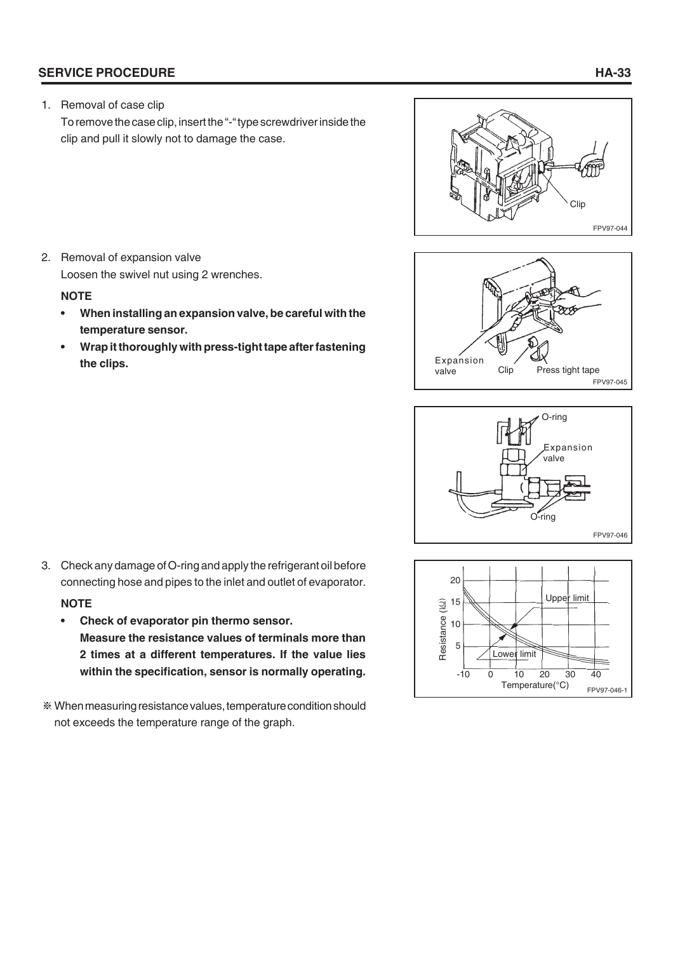#### **SERVICE PROCEDURE HA-33**

1. Removal of case clip

To remove the case clip, insert the "-" type screwdriver inside the clip and pull it slowly not to damage the case.



2. Removal of expansion valve Loosen the swivel nut using 2 wrenches.

#### **NOTE**

- **When installing an expansion valve, be careful with the temperature sensor.**
- **Wrap it thoroughly with press-tight tape after fastening the clips.**







- 3. Check any damage of O-ring and apply the refrigerant oil before connecting hose and pipes to the inlet and outlet of evaporator. **NOTE**
	- **Check of evaporator pin thermo sensor. Measure the resistance values of terminals more than 2 times at a different temperatures. If the value lies within the specification, sensor is normally operating.**
- When measuring resistance values, temperature condition should not exceeds the temperature range of the graph.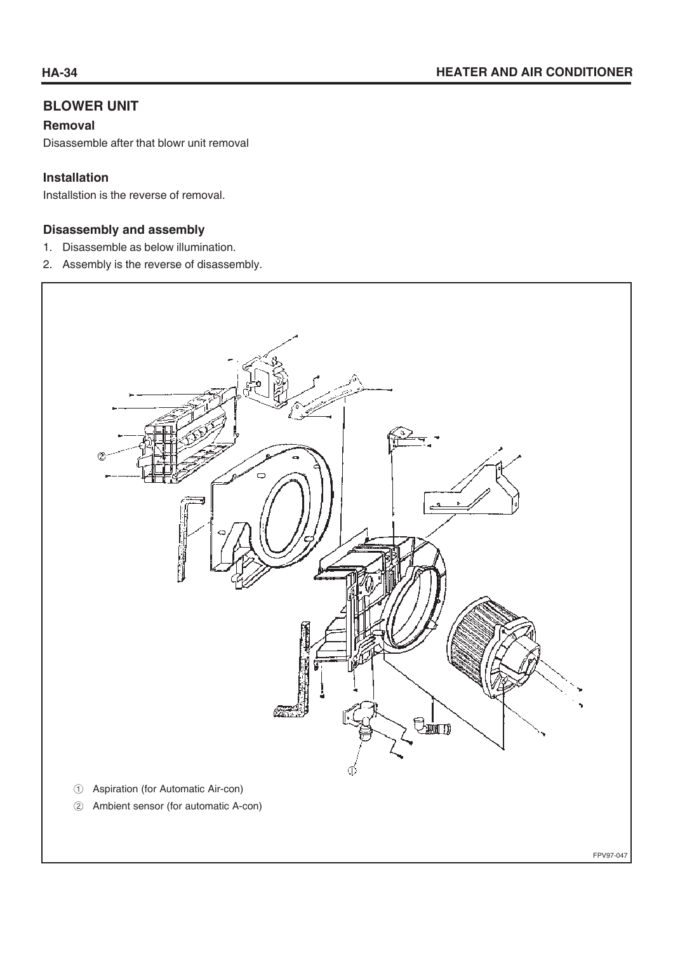# **BLOWER UNIT**

#### **Removal**

Disassemble after that blowr unit removal

#### **Installation**

Installstion is the reverse of removal.

#### **Disassembly and assembly**

- 1. Disassemble as below illumination.
- 2. Assembly is the reverse of disassembly.



FPV97-047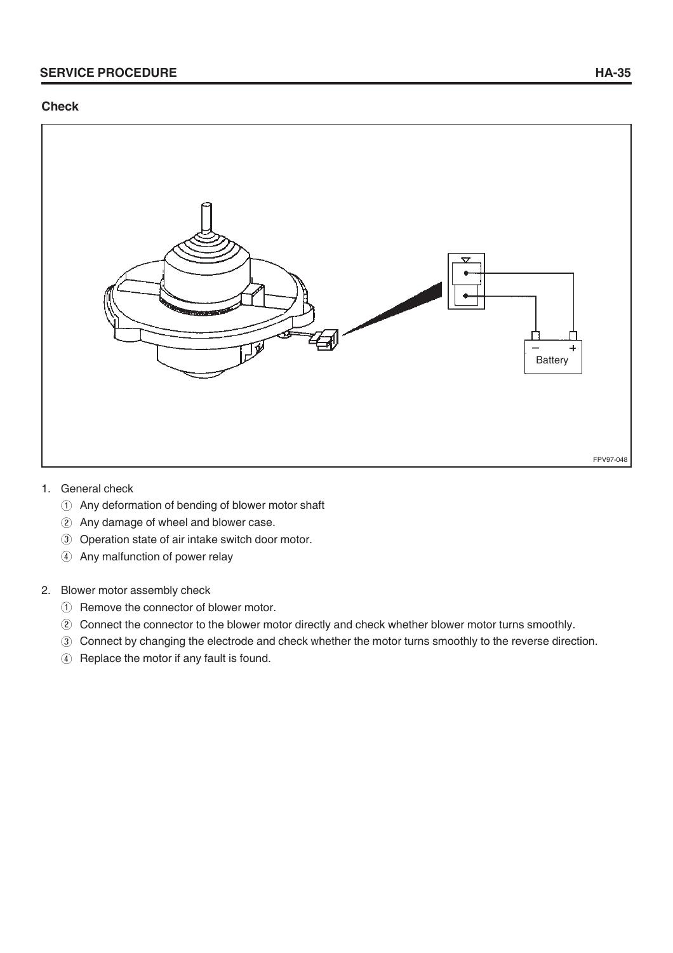#### **Check**



- 1. General check
	- Any deformation of bending of blower motor shaft
	- Any damage of wheel and blower case.
	- Operation state of air intake switch door motor.
	- 4 Any malfunction of power relay

#### 2. Blower motor assembly check

- Remove the connector of blower motor.
- Connect the connector to the blower motor directly and check whether blower motor turns smoothly.
- Connect by changing the electrode and check whether the motor turns smoothly to the reverse direction.
- 4 Replace the motor if any fault is found.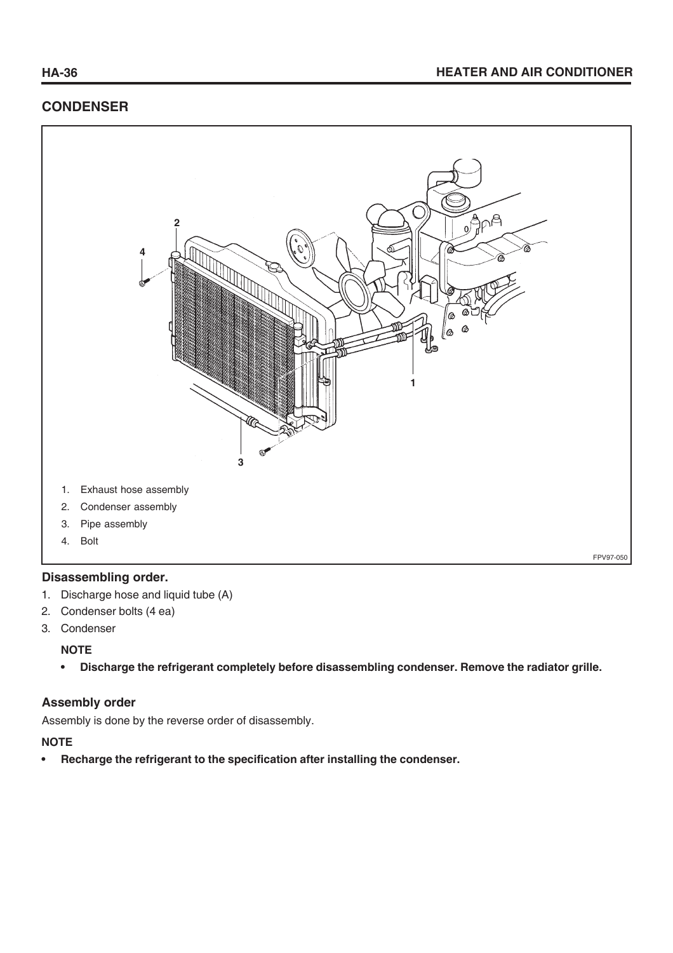# **CONDENSER**



#### **Disassembling order.**

- 1. Discharge hose and liquid tube (A)
- 2. Condenser bolts (4 ea)
- 3. Condenser

#### **NOTE**

**• Discharge the refrigerant completely before disassembling condenser. Remove the radiator grille.**

#### **Assembly order**

Assembly is done by the reverse order of disassembly.

#### **NOTE**

**• Recharge the refrigerant to the specification after installing the condenser.**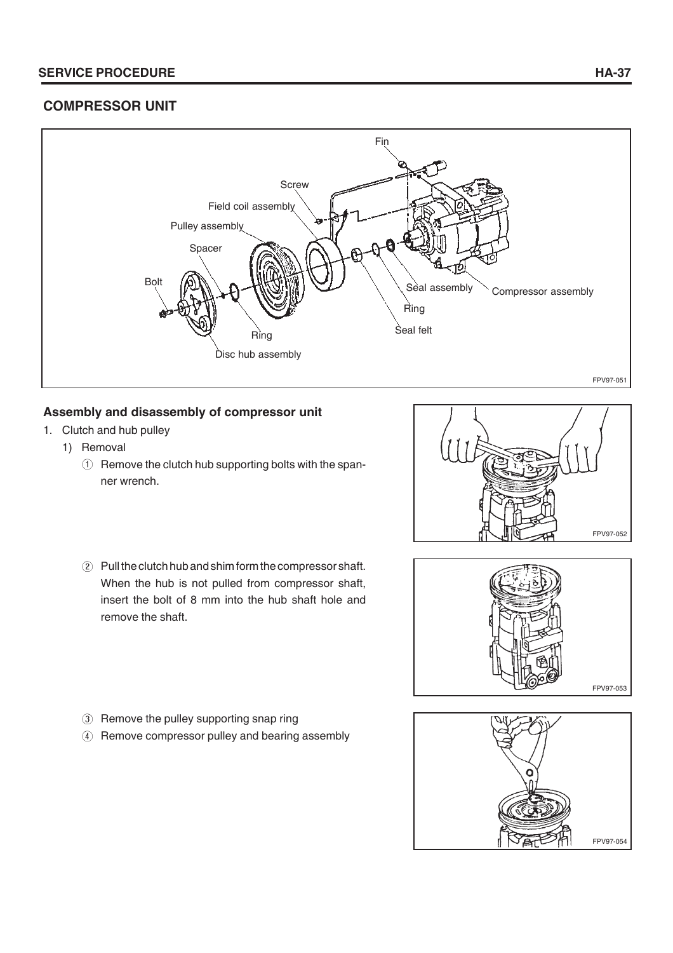#### **SERVICE PROCEDURE HA-37**

# **COMPRESSOR UNIT**



## **Assembly and disassembly of compressor unit**

- 1. Clutch and hub pulley
	- 1) Removal
		- $\circledR$  Remove the clutch hub supporting bolts with the spanner wrench.



Pull the clutch hub and shim form the compressor shaft. When the hub is not pulled from compressor shaft, insert the bolt of 8 mm into the hub shaft hole and remove the shaft.



- 3 Remove the pulley supporting snap ring
- Remove compressor pulley and bearing assembly

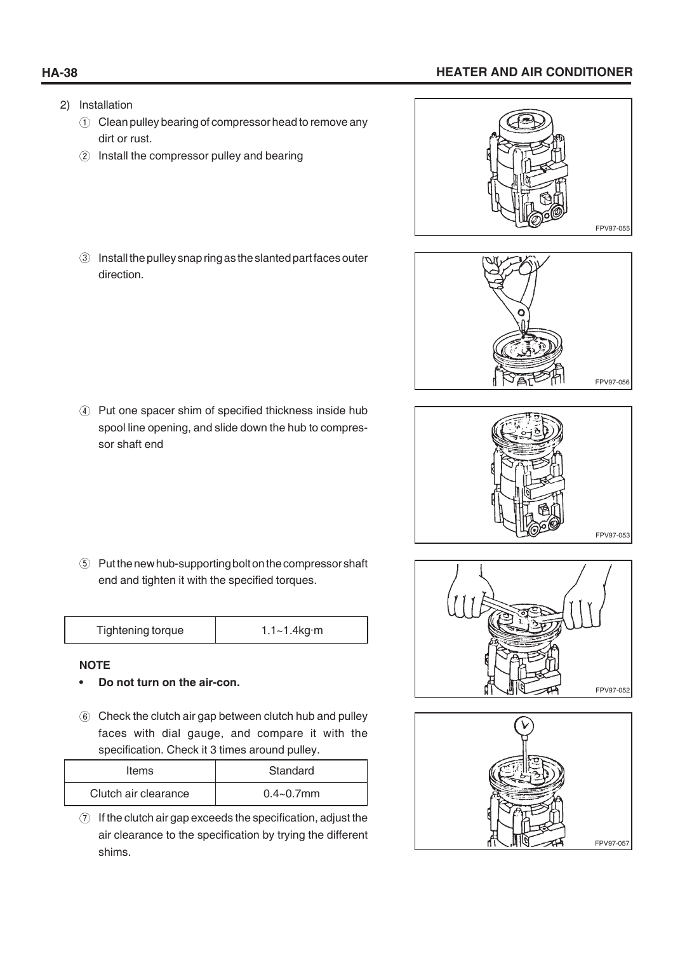# **HA-38 HEATER AND AIR CONDITIONER**

- 2) Installation
	- Clean pulley bearing of compressor head to remove any dirt or rust.
	- 2 Install the compressor pulley and bearing
	- Install the pulley snap ring as the slanted part faces outer direction.

Put one spacer shim of specified thickness inside hub spool line opening, and slide down the hub to compressor shaft end

Put the new hub-supporting bolt on the compressor shaft end and tighten it with the specified torques.

| Tightening torque | $1.1 - 1.4$ kg·m |
|-------------------|------------------|
|-------------------|------------------|

#### **NOTE**

- **Do not turn on the air-con.**
- Check the clutch air gap between clutch hub and pulley faces with dial gauge, and compare it with the specification. Check it 3 times around pulley.

| Items                | Standard       |
|----------------------|----------------|
| Clutch air clearance | $0.4 - 0.7$ mm |

 $\odot$  If the clutch air gap exceeds the specification, adjust the air clearance to the specification by trying the different shims.









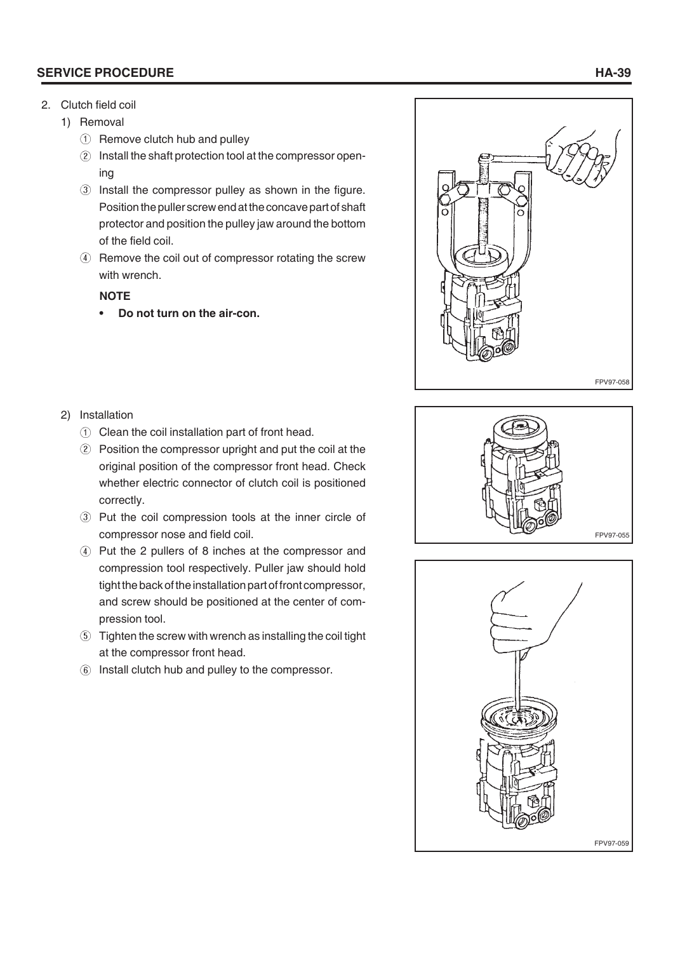#### **SERVICE PROCEDURE HA-39**

- 2. Clutch field coil
	- 1) Removal
		- Remove clutch hub and pulley
		- 2 Install the shaft protection tool at the compressor opening
		- Install the compressor pulley as shown in the figure. Position the puller screw end at the concave part of shaft protector and position the pulley jaw around the bottom of the field coil.
		- Remove the coil out of compressor rotating the screw with wrench.

#### **NOTE**

**• Do not turn on the air-con.**



#### 2) Installation

- Clean the coil installation part of front head.
- Position the compressor upright and put the coil at the original position of the compressor front head. Check whether electric connector of clutch coil is positioned correctly.
- Put the coil compression tools at the inner circle of compressor nose and field coil.
- Put the 2 pullers of 8 inches at the compressor and compression tool respectively. Puller jaw should hold tight the back of the installation part of front compressor, and screw should be positioned at the center of compression tool.
- Tighten the screw with wrench as installing the coil tight at the compressor front head.
- Install clutch hub and pulley to the compressor.



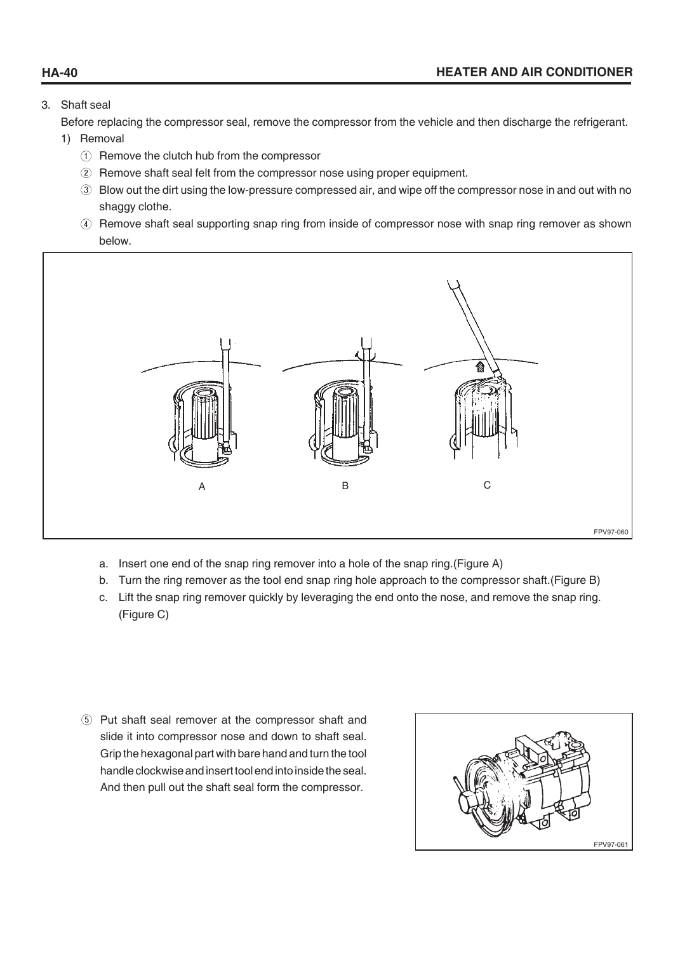#### 3. Shaft seal

Before replacing the compressor seal, remove the compressor from the vehicle and then discharge the refrigerant.

#### 1) Removal

- Remove the clutch hub from the compressor
- Remove shaft seal felt from the compressor nose using proper equipment.
- Blow out the dirt using the low-pressure compressed air, and wipe off the compressor nose in and out with no shaggy clothe.
- Remove shaft seal supporting snap ring from inside of compressor nose with snap ring remover as shown below.



- a. Insert one end of the snap ring remover into a hole of the snap ring.(Figure A)
- b. Turn the ring remover as the tool end snap ring hole approach to the compressor shaft.(Figure B)
- c. Lift the snap ring remover quickly by leveraging the end onto the nose, and remove the snap ring. (Figure C)
- Put shaft seal remover at the compressor shaft and slide it into compressor nose and down to shaft seal. Grip the hexagonal part with bare hand and turn the tool handle clockwise and insert tool end into inside the seal. And then pull out the shaft seal form the compressor.

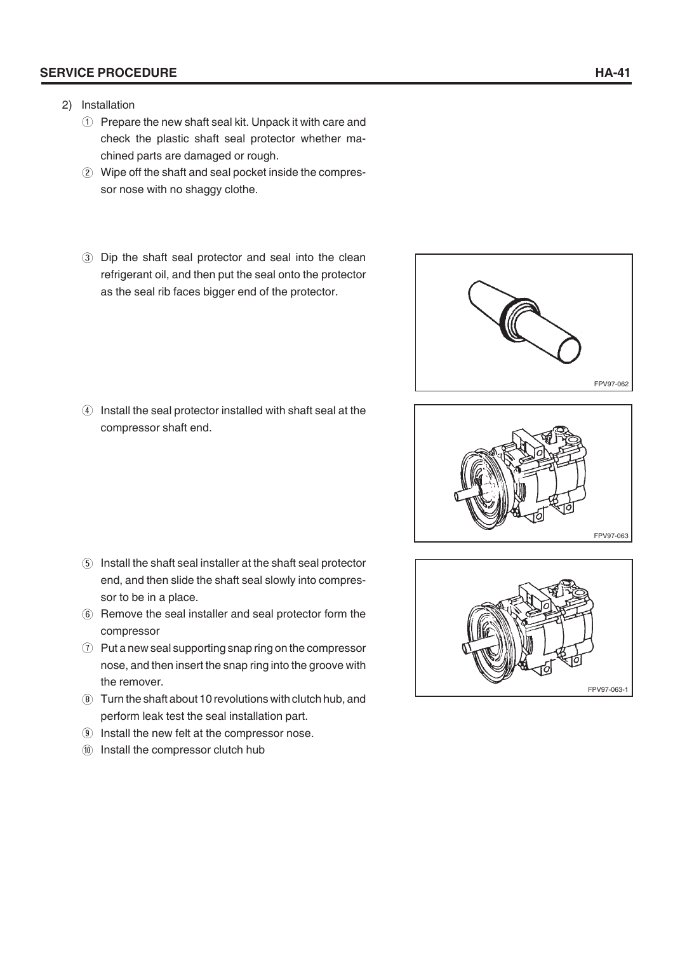#### **SERVICE PROCEDURE HA-41**

- 2) Installation
	- Prepare the new shaft seal kit. Unpack it with care and check the plastic shaft seal protector whether machined parts are damaged or rough.
	- Wipe off the shaft and seal pocket inside the compressor nose with no shaggy clothe.
	- Dip the shaft seal protector and seal into the clean refrigerant oil, and then put the seal onto the protector as the seal rib faces bigger end of the protector.

Install the seal protector installed with shaft seal at the compressor shaft end.

- Install the shaft seal installer at the shaft seal protector end, and then slide the shaft seal slowly into compressor to be in a place.
- Remove the seal installer and seal protector form the compressor
- $\odot$  Put a new seal supporting snap ring on the compressor nose, and then insert the snap ring into the groove with the remover.
- Turn the shaft about 10 revolutions with clutch hub, and perform leak test the seal installation part.
- **9** Install the new felt at the compressor nose.
- Install the compressor clutch hub







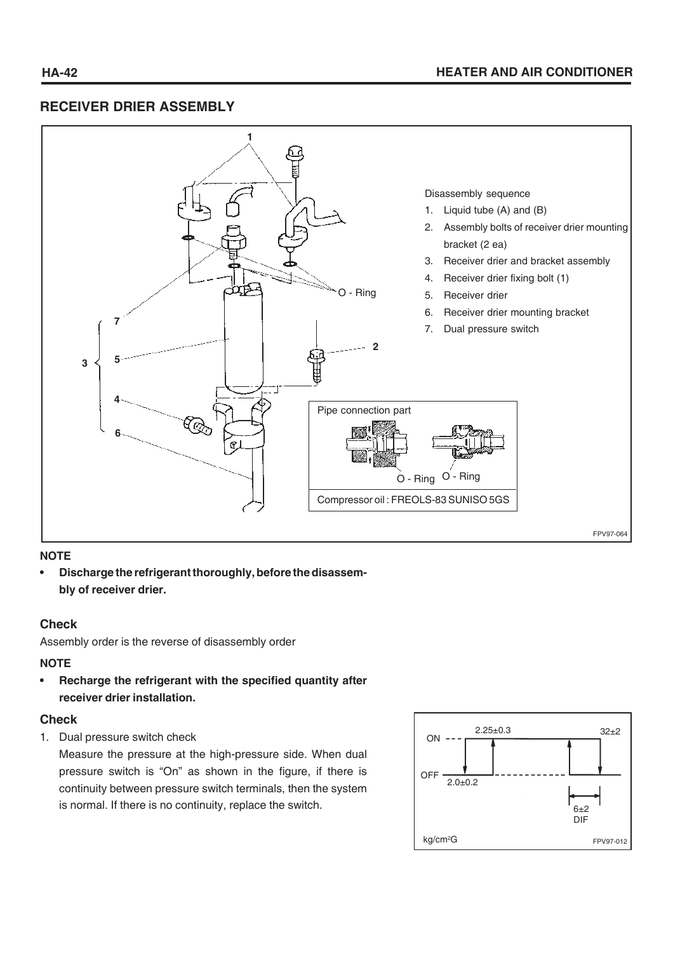# **RECEIVER DRIER ASSEMBLY**



#### **NOTE**

**• Discharge the refrigerant thoroughly, before the disassembly of receiver drier.**

#### **Check**

Assembly order is the reverse of disassembly order

#### **NOTE**

**• Recharge the refrigerant with the specified quantity after receiver drier installation.**

#### **Check**

1. Dual pressure switch check

Measure the pressure at the high-pressure side. When dual pressure switch is "On" as shown in the figure, if there is continuity between pressure switch terminals, then the system is normal. If there is no continuity, replace the switch.

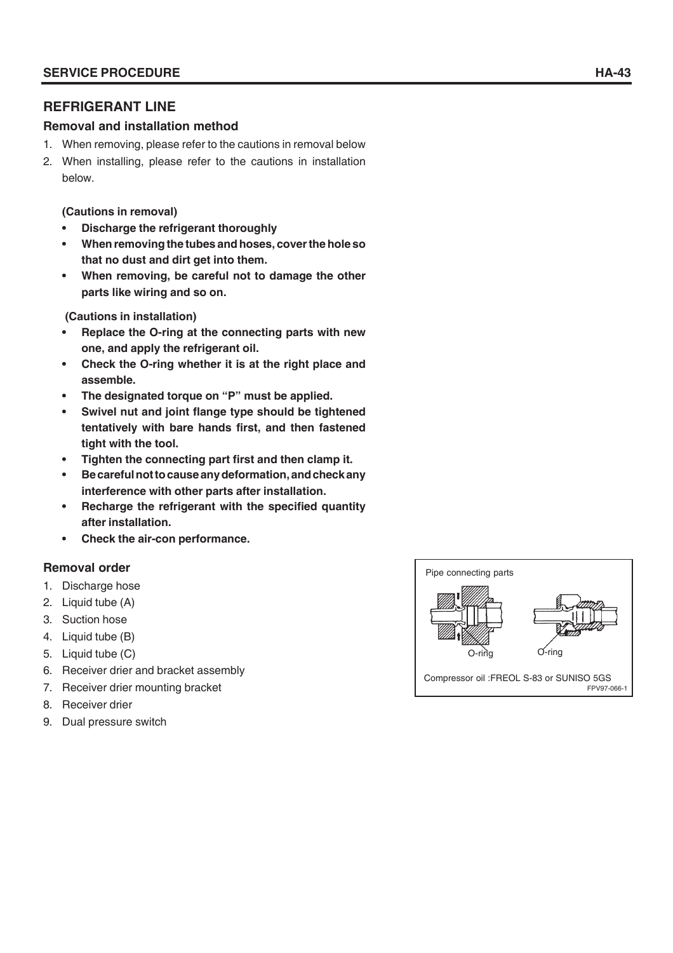## **REFRIGERANT LINE**

#### **Removal and installation method**

- 1. When removing, please refer to the cautions in removal below
- 2. When installing, please refer to the cautions in installation below.

#### **(Cautions in removal)**

- **Discharge the refrigerant thoroughly**
- **When removing the tubes and hoses, cover the hole so that no dust and dirt get into them.**
- **When removing, be careful not to damage the other parts like wiring and so on.**

 **(Cautions in installation)**

- **Replace the O-ring at the connecting parts with new one, and apply the refrigerant oil.**
- **Check the O-ring whether it is at the right place and assemble.**
- **The designated torque on "P" must be applied.**
- **Swivel nut and joint flange type should be tightened tentatively with bare hands first, and then fastened tight with the tool.**
- **Tighten the connecting part first and then clamp it.**
- **Be careful not to cause any deformation, and check any interference with other parts after installation.**
- **Recharge the refrigerant with the specified quantity after installation.**
- **Check the air-con performance.**

#### **Removal order**

- 1. Discharge hose
- 2. Liquid tube (A)
- 3. Suction hose
- 4. Liquid tube (B)
- 5. Liquid tube (C)
- 6. Receiver drier and bracket assembly
- 7. Receiver drier mounting bracket
- 8. Receiver drier
- 9. Dual pressure switch